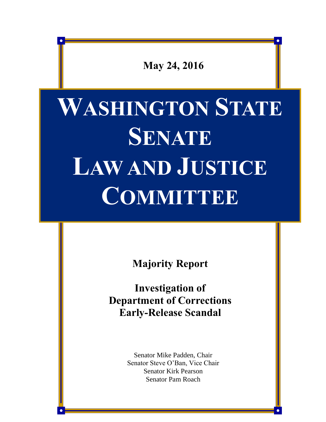

# **WASHINGTON STATE SENATE LAW AND JUSTICE COMMITTEE**

**Majority Report**

**Investigation of Department of Corrections Early-Release Scandal** 

> Senator Mike Padden, Chair Senator Steve O'Ban, Vice Chair Senator Kirk Pearson Senator Pam Roach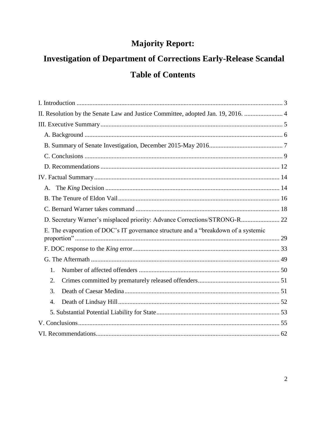# **Majority Report:**

# **Investigation of Department of Corrections Early-Release Scandal Table of Contents**

| II. Resolution by the Senate Law and Justice Committee, adopted Jan. 19, 2016.  4  |  |
|------------------------------------------------------------------------------------|--|
|                                                                                    |  |
|                                                                                    |  |
|                                                                                    |  |
|                                                                                    |  |
|                                                                                    |  |
|                                                                                    |  |
| А.                                                                                 |  |
|                                                                                    |  |
|                                                                                    |  |
| D. Secretary Warner's misplaced priority: Advance Corrections/STRONG-R 22          |  |
| E. The evaporation of DOC's IT governance structure and a "breakdown of a systemic |  |
|                                                                                    |  |
|                                                                                    |  |
|                                                                                    |  |
| 1.                                                                                 |  |
| 2.                                                                                 |  |
| 3.                                                                                 |  |
| 4.                                                                                 |  |
|                                                                                    |  |
|                                                                                    |  |
|                                                                                    |  |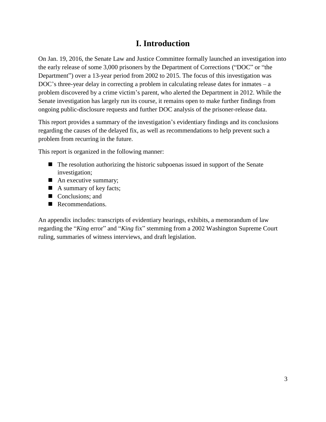# **I. Introduction**

<span id="page-2-0"></span>On Jan. 19, 2016, the Senate Law and Justice Committee formally launched an investigation into the early release of some 3,000 prisoners by the Department of Corrections ("DOC" or "the Department") over a 13-year period from 2002 to 2015. The focus of this investigation was DOC's three-year delay in correcting a problem in calculating release dates for inmates  $-a$ problem discovered by a crime victim's parent, who alerted the Department in 2012. While the Senate investigation has largely run its course, it remains open to make further findings from ongoing public-disclosure requests and further DOC analysis of the prisoner-release data.

This report provides a summary of the investigation's evidentiary findings and its conclusions regarding the causes of the delayed fix, as well as recommendations to help prevent such a problem from recurring in the future.

This report is organized in the following manner:

- The resolution authorizing the historic subpoenas issued in support of the Senate investigation;
- An executive summary;
- A summary of key facts;
- Conclusions; and
- Recommendations.

An appendix includes: transcripts of evidentiary hearings, exhibits, a memorandum of law regarding the "*King* error" and "*King* fix" stemming from a 2002 Washington Supreme Court ruling, summaries of witness interviews, and draft legislation.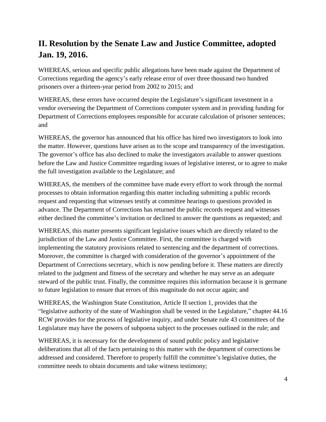# <span id="page-3-0"></span>**II. Resolution by the Senate Law and Justice Committee, adopted Jan. 19, 2016.**

WHEREAS, serious and specific public allegations have been made against the Department of Corrections regarding the agency's early release error of over three thousand two hundred prisoners over a thirteen-year period from 2002 to 2015; and

WHEREAS, these errors have occurred despite the Legislature's significant investment in a vendor overseeing the Department of Corrections computer system and in providing funding for Department of Corrections employees responsible for accurate calculation of prisoner sentences; and

WHEREAS, the governor has announced that his office has hired two investigators to look into the matter. However, questions have arisen as to the scope and transparency of the investigation. The governor's office has also declined to make the investigators available to answer questions before the Law and Justice Committee regarding issues of legislative interest, or to agree to make the full investigation available to the Legislature; and

WHEREAS, the members of the committee have made every effort to work through the normal processes to obtain information regarding this matter including submitting a public records request and requesting that witnesses testify at committee hearings to questions provided in advance. The Department of Corrections has returned the public records request and witnesses either declined the committee's invitation or declined to answer the questions as requested; and

WHEREAS, this matter presents significant legislative issues which are directly related to the jurisdiction of the Law and Justice Committee. First, the committee is charged with implementing the statutory provisions related to sentencing and the department of corrections. Moreover, the committee is charged with consideration of the governor's appointment of the Department of Corrections secretary, which is now pending before it. These matters are directly related to the judgment and fitness of the secretary and whether he may serve as an adequate steward of the public trust. Finally, the committee requires this information because it is germane to future legislation to ensure that errors of this magnitude do not occur again; and

WHEREAS, the Washington State Constitution, Article II section 1, provides that the "legislative authority of the state of Washington shall be vested in the Legislature," chapter 44.16 RCW provides for the process of legislative inquiry, and under Senate rule 43 committees of the Legislature may have the powers of subpoena subject to the processes outlined in the rule; and

WHEREAS, it is necessary for the development of sound public policy and legislative deliberations that all of the facts pertaining to this matter with the department of corrections be addressed and considered. Therefore to properly fulfill the committee's legislative duties, the committee needs to obtain documents and take witness testimony;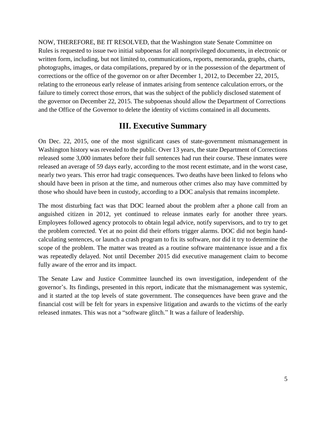NOW, THEREFORE, BE IT RESOLVED, that the Washington state Senate Committee on Rules is requested to issue two initial subpoenas for all nonprivileged documents, in electronic or written form, including, but not limited to, communications, reports, memoranda, graphs, charts, photographs, images, or data compilations, prepared by or in the possession of the department of corrections or the office of the governor on or after December 1, 2012, to December 22, 2015, relating to the erroneous early release of inmates arising from sentence calculation errors, or the failure to timely correct those errors, that was the subject of the publicly disclosed statement of the governor on December 22, 2015. The subpoenas should allow the Department of Corrections and the Office of the Governor to delete the identity of victims contained in all documents.

### **III. Executive Summary**

<span id="page-4-0"></span>On Dec. 22, 2015, one of the most significant cases of state-government mismanagement in Washington history was revealed to the public. Over 13 years, the state Department of Corrections released some 3,000 inmates before their full sentences had run their course. These inmates were released an average of 59 days early, according to the most recent estimate, and in the worst case, nearly two years. This error had tragic consequences. Two deaths have been linked to felons who should have been in prison at the time, and numerous other crimes also may have committed by those who should have been in custody, according to a DOC analysis that remains incomplete.

The most disturbing fact was that DOC learned about the problem after a phone call from an anguished citizen in 2012, yet continued to release inmates early for another three years. Employees followed agency protocols to obtain legal advice, notify supervisors, and to try to get the problem corrected. Yet at no point did their efforts trigger alarms. DOC did not begin handcalculating sentences, or launch a crash program to fix its software, nor did it try to determine the scope of the problem. The matter was treated as a routine software maintenance issue and a fix was repeatedly delayed. Not until December 2015 did executive management claim to become fully aware of the error and its impact.

The Senate Law and Justice Committee launched its own investigation, independent of the governor's. Its findings, presented in this report, indicate that the mismanagement was systemic, and it started at the top levels of state government. The consequences have been grave and the financial cost will be felt for years in expensive litigation and awards to the victims of the early released inmates. This was not a "software glitch." It was a failure of leadership.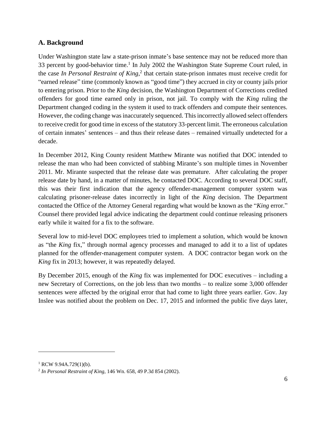#### <span id="page-5-0"></span>**A. Background**

Under Washington state law a state-prison inmate's base sentence may not be reduced more than 33 percent by good-behavior time.<sup>1</sup> In July 2002 the Washington State Supreme Court ruled, in the case *In Personal Restraint of King*, 2 that certain state-prison inmates must receive credit for "earned release" time (commonly known as "good time") they accrued in city or county jails prior to entering prison. Prior to the *King* decision, the Washington Department of Corrections credited offenders for good time earned only in prison, not jail. To comply with the *King* ruling the Department changed coding in the system it used to track offenders and compute their sentences. However, the coding change was inaccurately sequenced. This incorrectly allowed select offenders to receive credit for good time in excess of the statutory 33-percent limit. The erroneous calculation of certain inmates' sentences – and thus their release dates – remained virtually undetected for a decade.

In December 2012, King County resident Matthew Mirante was notified that DOC intended to release the man who had been convicted of stabbing Mirante's son multiple times in November 2011. Mr. Mirante suspected that the release date was premature. After calculating the proper release date by hand, in a matter of minutes, he contacted DOC. According to several DOC staff, this was their first indication that the agency offender-management computer system was calculating prisoner-release dates incorrectly in light of the *King* decision. The Department contacted the Office of the Attorney General regarding what would be known as the "*King* error." Counsel there provided legal advice indicating the department could continue releasing prisoners early while it waited for a fix to the software.

Several low to mid-level DOC employees tried to implement a solution, which would be known as "the *King* fix," through normal agency processes and managed to add it to a list of updates planned for the offender-management computer system. A DOC contractor began work on the *King* fix in 2013; however, it was repeatedly delayed.

By December 2015, enough of the *King* fix was implemented for DOC executives – including a new Secretary of Corrections, on the job less than two months – to realize some 3,000 offender sentences were affected by the original error that had come to light three years earlier. Gov. Jay Inslee was notified about the problem on Dec. 17, 2015 and informed the public five days later,

 $1$  RCW 9.94A.729(1)(b).

<sup>2</sup> *In Personal Restraint of King*, 146 Wn. 658, 49 P.3d 854 (2002).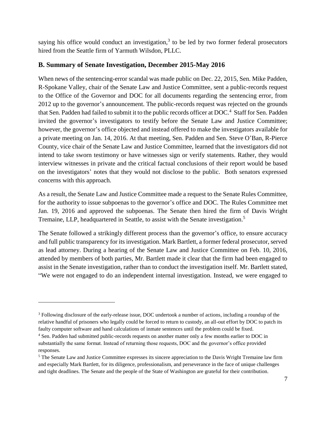saying his office would conduct an investigation, $3$  to be led by two former federal prosecutors hired from the Seattle firm of Yarmuth Wilsdon, PLLC.

#### <span id="page-6-0"></span>**B. Summary of Senate Investigation, December 2015-May 2016**

When news of the sentencing-error scandal was made public on Dec. 22, 2015, Sen. Mike Padden, R-Spokane Valley, chair of the Senate Law and Justice Committee, sent a public-records request to the Office of the Governor and DOC for all documents regarding the sentencing error, from 2012 up to the governor's announcement. The public-records request was rejected on the grounds that Sen. Padden had failed to submit it to the public records officer at DOC.<sup>4</sup> Staff for Sen. Padden invited the governor's investigators to testify before the Senate Law and Justice Committee; however, the governor's office objected and instead offered to make the investigators available for a private meeting on Jan. 14, 2016. At that meeting, Sen. Padden and Sen. Steve O'Ban, R-Pierce County, vice chair of the Senate Law and Justice Committee, learned that the investigators did not intend to take sworn testimony or have witnesses sign or verify statements. Rather, they would interview witnesses in private and the critical factual conclusions of their report would be based on the investigators' notes that they would not disclose to the public. Both senators expressed concerns with this approach.

As a result, the Senate Law and Justice Committee made a request to the Senate Rules Committee, for the authority to issue subpoenas to the governor's office and DOC. The Rules Committee met Jan. 19, 2016 and approved the subpoenas. The Senate then hired the firm of Davis Wright Tremaine, LLP, headquartered in Seattle, to assist with the Senate investigation.<sup>5</sup>

The Senate followed a strikingly different process than the governor's office, to ensure accuracy and full public transparency for its investigation. Mark Bartlett, a former federal prosecutor, served as lead attorney. During a hearing of the Senate Law and Justice Committee on Feb. 10, 2016, attended by members of both parties, Mr. Bartlett made it clear that the firm had been engaged to assist in the Senate investigation, rather than to conduct the investigation itself. Mr. Bartlett stated, "We were not engaged to do an independent internal investigation. Instead, we were engaged to

<sup>3</sup> Following disclosure of the early-release issue, DOC undertook a number of actions, including a roundup of the relative handful of prisoners who legally could be forced to return to custody, an all-out effort by DOC to patch its faulty computer software and hand calculations of inmate sentences until the problem could be fixed.

<sup>4</sup> Sen. Padden had submitted public-records requests on another matter only a few months earlier to DOC in substantially the same format. Instead of returning those requests, DOC and the governor's office provided responses.

<sup>&</sup>lt;sup>5</sup> The Senate Law and Justice Committee expresses its sincere appreciation to the Davis Wright Tremaine law firm and especially Mark Bartlett, for its diligence, professionalism, and perseverance in the face of unique challenges and tight deadlines. The Senate and the people of the State of Washington are grateful for their contribution.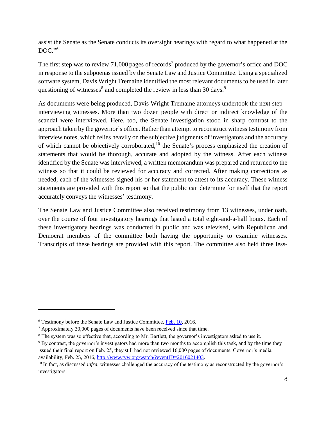assist the Senate as the Senate conducts its oversight hearings with regard to what happened at the DOC." 6

The first step was to review 71,000 pages of records<sup>7</sup> produced by the governor's office and DOC in response to the subpoenas issued by the Senate Law and Justice Committee. Using a specialized software system, Davis Wright Tremaine identified the most relevant documents to be used in later questioning of witnesses<sup>8</sup> and completed the review in less than 30 days.<sup>9</sup>

As documents were being produced, Davis Wright Tremaine attorneys undertook the next step – interviewing witnesses. More than two dozen people with direct or indirect knowledge of the scandal were interviewed. Here, too, the Senate investigation stood in sharp contrast to the approach taken by the governor's office. Rather than attempt to reconstruct witness testimony from interview notes, which relies heavily on the subjective judgments of investigators and the accuracy of which cannot be objectively corroborated,<sup>10</sup> the Senate's process emphasized the creation of statements that would be thorough, accurate and adopted by the witness. After each witness identified by the Senate was interviewed, a written memorandum was prepared and returned to the witness so that it could be reviewed for accuracy and corrected. After making corrections as needed, each of the witnesses signed his or her statement to attest to its accuracy. These witness statements are provided with this report so that the public can determine for itself that the report accurately conveys the witnesses' testimony.

The Senate Law and Justice Committee also received testimony from 13 witnesses, under oath, over the course of four investigatory hearings that lasted a total eight-and-a-half hours. Each of these investigatory hearings was conducted in public and was televised, with Republican and Democrat members of the committee both having the opportunity to examine witnesses. Transcripts of these hearings are provided with this report. The committee also held three less-

<sup>6</sup> Testimony before the Senate Law and Justice Committee, [Feb. 10,](http://www.tvw.org/watch/?eventID=2016021158) 2016.

 $7$  Approximately 30,000 pages of documents have been received since that time.

<sup>8</sup> The system was so effective that, according to Mr. Bartlett, the governor's investigators asked to use it.

<sup>&</sup>lt;sup>9</sup> By contrast, the governor's investigators had more than two months to accomplish this task, and by the time they issued their final report on Feb. 25, they still had not reviewed 16,000 pages of documents. Governor's media availability, Feb. 25, 2016, [http://www.tvw.org/watch/?eventID=2016021403.](http://www.tvw.org/watch/?eventID=2016021403)

<sup>&</sup>lt;sup>10</sup> In fact, as discussed *infra*, witnesses challenged the accuracy of the testimony as reconstructed by the governor's investigators.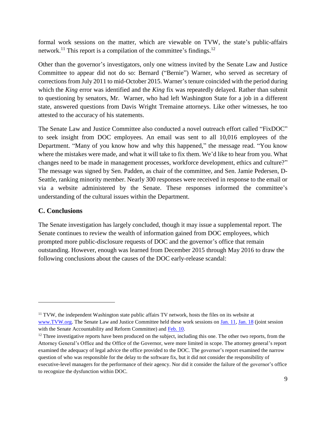formal work sessions on the matter, which are viewable on TVW, the state's public-affairs network.<sup>11</sup> This report is a compilation of the committee's findings.<sup>12</sup>

Other than the governor's investigators, only one witness invited by the Senate Law and Justice Committee to appear did not do so: Bernard ("Bernie") Warner, who served as secretary of corrections from July 2011 to mid-October 2015. Warner's tenure coincided with the period during which the *King* error was identified and the *King* fix was repeatedly delayed. Rather than submit to questioning by senators, Mr. Warner, who had left Washington State for a job in a different state, answered questions from Davis Wright Tremaine attorneys. Like other witnesses, he too attested to the accuracy of his statements.

The Senate Law and Justice Committee also conducted a novel outreach effort called "FixDOC" to seek insight from DOC employees. An email was sent to all 10,016 employees of the Department. "Many of you know how and why this happened," the message read. "You know where the mistakes were made, and what it will take to fix them. We'd like to hear from you. What changes need to be made in management processes, workforce development, ethics and culture?" The message was signed by Sen. Padden, as chair of the committee, and Sen. Jamie Pedersen, D-Seattle, ranking minority member. Nearly 300 responses were received in response to the email or via a website administered by the Senate. These responses informed the committee's understanding of the cultural issues within the Department.

#### <span id="page-8-0"></span>**C. Conclusions**

 $\overline{a}$ 

The Senate investigation has largely concluded, though it may issue a supplemental report. The Senate continues to review the wealth of information gained from DOC employees, which prompted more public-disclosure requests of DOC and the governor's office that remain outstanding. However, enough was learned from December 2015 through May 2016 to draw the following conclusions about the causes of the DOC early-release scandal:

<sup>&</sup>lt;sup>11</sup> TVW, the independent Washington state public affairs TV network, hosts the files on its website at [www.TVW.org.](http://www.tvw.org/) The Senate Law and Justice Committee held these work sessions on [Jan.](http://www.tvw.org/watch/?eventID=2016010143) 11, Jan. 18 (joint session with the Senate Accountability and Reform Committee) and [Feb. 10.](http://www.tvw.org/watch/?eventID=2016021158)

<sup>&</sup>lt;sup>12</sup> Three investigative reports have been produced on the subject, including this one. The other two reports, from the Attorney General's Office and the Office of the Governor, were more limited in scope. The attorney general's report examined the adequacy of legal advice the office provided to the DOC. The governor's report examined the narrow question of who was responsible for the delay to the software fix, but it did not consider the responsibility of executive-level managers for the performance of their agency. Nor did it consider the failure of the governor's office to recognize the dysfunction within DOC.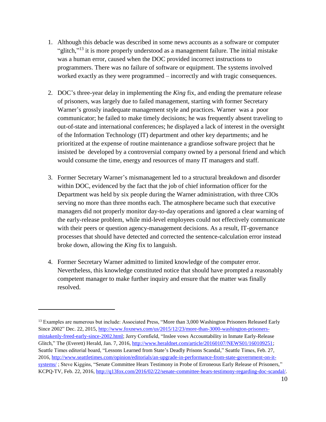- 1. Although this debacle was described in some news accounts as a software or computer "glitch," $13$  it is more properly understood as a management failure. The initial mistake was a human error, caused when the DOC provided incorrect instructions to programmers. There was no failure of software or equipment. The systems involved worked exactly as they were programmed – incorrectly and with tragic consequences.
- 2. DOC's three-year delay in implementing the *King* fix, and ending the premature release of prisoners, was largely due to failed management, starting with former Secretary Warner's grossly inadequate management style and practices. Warner was a poor communicator; he failed to make timely decisions; he was frequently absent traveling to out-of-state and international conferences; he displayed a lack of interest in the oversight of the Information Technology (IT) department and other key departments; and he prioritized at the expense of routine maintenance a grandiose software project that he insisted be developed by a controversial company owned by a personal friend and which would consume the time, energy and resources of many IT managers and staff.
- 3. Former Secretary Warner's mismanagement led to a structural breakdown and disorder within DOC, evidenced by the fact that the job of chief information officer for the Department was held by six people during the Warner administration, with three CIOs serving no more than three months each. The atmosphere became such that executive managers did not properly monitor day-to-day operations and ignored a clear warning of the early-release problem, while mid-level employees could not effectively communicate with their peers or question agency-management decisions. As a result, IT-governance processes that should have detected and corrected the sentence-calculation error instead broke down, allowing the *King* fix to languish.
- 4. Former Secretary Warner admitted to limited knowledge of the computer error. Nevertheless, this knowledge constituted notice that should have prompted a reasonably competent manager to make further inquiry and ensure that the matter was finally resolved.

<sup>&</sup>lt;sup>13</sup> Examples are numerous but include: Associated Press, "More than 3,000 Washington Prisoners Released Early Since 2002" Dec. 22, 2015, [http://www.foxnews.com/us/2015/12/23/more-than-3000-washington-prisoners](http://www.foxnews.com/us/2015/12/23/more-than-3000-washington-prisoners-mistakenly-freed-early-since-2002.html)[mistakenly-freed-early-since-2002.html;](http://www.foxnews.com/us/2015/12/23/more-than-3000-washington-prisoners-mistakenly-freed-early-since-2002.html) Jerry Cornfield, "Inslee vows Accountability in Inmate Early-Release Glitch," The (Everett) Herald, Jan. 7, 2016, [http://www.heraldnet.com/article/20160107/NEWS01/160109251;](http://www.heraldnet.com/article/20160107/NEWS01/160109251) Seattle Times editorial board, "Lessons Learned from State's Deadly Prisons Scandal," Seattle Times, Feb. 27, 2016, [http://www.seattletimes.com/opinion/editorials/an-upgrade-in-performance-from-state-government-on-it](http://www.seattletimes.com/opinion/editorials/an-upgrade-in-performance-from-state-government-on-it-systems/)[systems/](http://www.seattletimes.com/opinion/editorials/an-upgrade-in-performance-from-state-government-on-it-systems/); Steve Kiggins, "Senate Committee Hears Testimony in Probe of Erroneous Early Release of Prisoners," KCPQ-TV, Feb. 22, 2016, [http://q13fox.com/2016/02/22/senate-committee-hears-testimony-regarding-doc-scandal/.](http://q13fox.com/2016/02/22/senate-committee-hears-testimony-regarding-doc-scandal/)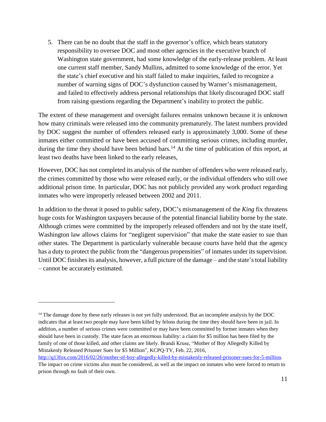5. There can be no doubt that the staff in the governor's office, which bears statutory responsibility to oversee DOC and most other agencies in the executive branch of Washington state government, had some knowledge of the early-release problem. At least one current staff member, Sandy Mullins, admitted to some knowledge of the error. Yet the state's chief executive and his staff failed to make inquiries, failed to recognize a number of warning signs of DOC's dysfunction caused by Warner's mismanagement, and failed to effectively address personal relationships that likely discouraged DOC staff from raising questions regarding the Department's inability to protect the public.

The extent of these management and oversight failures remains unknown because it is unknown how many criminals were released into the community prematurely. The latest numbers provided by DOC suggest the number of offenders released early is approximately 3,000. Some of these inmates either committed or have been accused of committing serious crimes, including murder, during the time they should have been behind bars.<sup>14</sup> At the time of publication of this report, at least two deaths have been linked to the early releases,

However, DOC has not completed its analysis of the number of offenders who were released early, the crimes committed by those who were released early, or the individual offenders who still owe additional prison time. In particular, DOC has not publicly provided any work product regarding inmates who were improperly released between 2002 and 2011.

In addition to the threat it posed to public safety, DOC's mismanagement of the *King* fix threatens huge costs for Washington taxpayers because of the potential financial liability borne by the state. Although crimes were committed by the improperly released offenders and not by the state itself, Washington law allows claims for "negligent supervision" that make the state easier to sue than other states. The Department is particularly vulnerable because courts have held that the agency has a duty to protect the public from the "dangerous propensities" of inmates under its supervision. Until DOC finishes its analysis, however, a full picture of the damage – and the state's total liability – cannot be accurately estimated.

<sup>&</sup>lt;sup>14</sup> The damage done by these early releases is not yet fully understood. But an incomplete analysis by the DOC indicates that at least two people may have been killed by felons during the time they should have been in jail. In addition, a number of serious crimes were committed or may have been committed by former inmates when they should have been in custody. The state faces an enormous liability: a claim for \$5 million has been filed by the family of one of those killed, and other claims are likely. Brandi Kruse, "Mother of Boy Allegedly Killed by Mistakenly Released Prisoner Sues for \$5 Million", KCPQ-TV, Feb. 22, 2016,

[http://q13fox.com/2016/02/26/mother-of-boy-allegedly-killed-by-mistakenly-released-prisoner-sues-for-5-million.](http://q13fox.com/2016/02/26/mother-of-boy-allegedly-killed-by-mistakenly-released-prisoner-sues-for-5-million)  The impact on crime victims also must be considered, as well as the impact on inmates who were forced to return to prison through no fault of their own.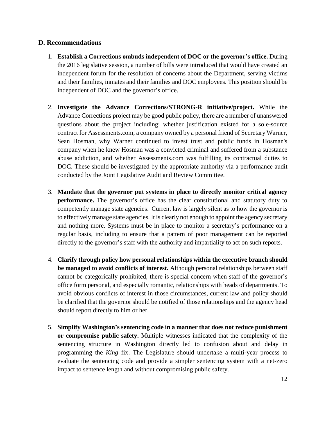#### <span id="page-11-0"></span>**D. Recommendations**

- 1. **Establish a Corrections ombuds independent of DOC or the governor's office.** During the 2016 legislative session, a number of bills were introduced that would have created an independent forum for the resolution of concerns about the Department, serving victims and their families, inmates and their families and DOC employees. This position should be independent of DOC and the governor's office.
- 2. **Investigate the Advance Corrections/STRONG-R initiative/project.** While the Advance Corrections project may be good public policy, there are a number of unanswered questions about the project including: whether justification existed for a sole-source contract for Assessments.com, a company owned by a personal friend of Secretary Warner, Sean Hosman, why Warner continued to invest trust and public funds in Hosman's company when he knew Hosman was a convicted criminal and suffered from a substance abuse addiction, and whether Assessments.com was fulfilling its contractual duties to DOC. These should be investigated by the appropriate authority via a performance audit conducted by the Joint Legislative Audit and Review Committee.
- 3. **Mandate that the governor put systems in place to directly monitor critical agency performance.** The governor's office has the clear constitutional and statutory duty to competently manage state agencies. Current law is largely silent as to how the governor is to effectively manage state agencies. It is clearly not enough to appoint the agency secretary and nothing more. Systems must be in place to monitor a secretary's performance on a regular basis, including to ensure that a pattern of poor management can be reported directly to the governor's staff with the authority and impartiality to act on such reports.
- 4. **Clarify through policy how personal relationships within the executive branch should be managed to avoid conflicts of interest.** Although personal relationships between staff cannot be categorically prohibited, there is special concern when staff of the governor's office form personal, and especially romantic, relationships with heads of departments. To avoid obvious conflicts of interest in those circumstances, current law and policy should be clarified that the governor should be notified of those relationships and the agency head should report directly to him or her.
- 5. **Simplify Washington's sentencing code in a manner that does not reduce punishment or compromise public safety.** Multiple witnesses indicated that the complexity of the sentencing structure in Washington directly led to confusion about and delay in programming the *King* fix. The Legislature should undertake a multi-year process to evaluate the sentencing code and provide a simpler sentencing system with a net-zero impact to sentence length and without compromising public safety.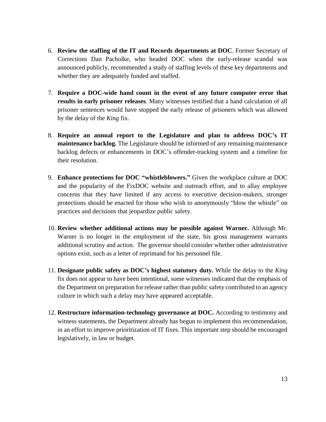- 6. **Review the staffing of the IT and Records departments at DOC**. Former Secretary of Corrections Dan Pacholke, who headed DOC when the early-release scandal was announced publicly, recommended a study of staffing levels of these key departments and whether they are adequately funded and staffed.
- 7. **Require a DOC-wide hand count in the event of any future computer error that results in early prisoner releases**. Many witnesses testified that a hand calculation of all prisoner sentences would have stopped the early release of prisoners which was allowed by the delay of the *King* fix.
- 8. **Require an annual report to the Legislature and plan to address DOC's IT maintenance backlog.** The Legislature should be informed of any remaining maintenance backlog defects or enhancements in DOC's offender-tracking system and a timeline for their resolution.
- 9. **Enhance protections for DOC "whistleblowers."** Given the workplace culture at DOC and the popularity of the FixDOC website and outreach effort, and to allay employee concerns that they have limited if any access to executive decision-makers, stronger protections should be enacted for those who wish to anonymously "blow the whistle" on practices and decisions that jeopardize public safety.
- 10. **Review whether additional actions may be possible against Warner.** Although Mr. Warner is no longer in the employment of the state, his gross management warrants additional scrutiny and action. The governor should consider whether other administrative options exist, such as a letter of reprimand for his personnel file.
- 11. **Designate public safety as DOC's highest statutory duty.** While the delay to the *King*  fix does not appear to have been intentional, some witnesses indicated that the emphasis of the Department on preparation for release rather than public safety contributed to an agency culture in which such a delay may have appeared acceptable.
- 12. **Restructure information-technology governance at DOC.** According to testimony and witness statements, the Department already has begun to implement this recommendation, in an effort to improve prioritization of IT fixes. This important step should be encouraged legislatively, in law or budget.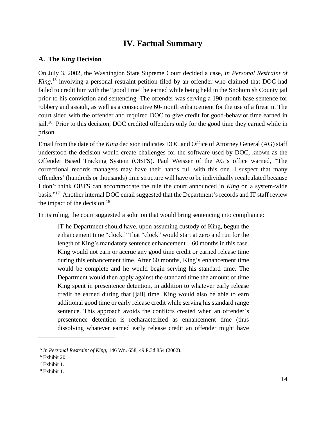# **IV. Factual Summary**

#### <span id="page-13-1"></span><span id="page-13-0"></span>**A. The** *King* **Decision**

On July 3, 2002, the Washington State Supreme Court decided a case, *In Personal Restraint of King*, <sup>15</sup> involving a personal restraint petition filed by an offender who claimed that DOC had failed to credit him with the "good time" he earned while being held in the Snohomish County jail prior to his conviction and sentencing. The offender was serving a 190-month base sentence for robbery and assault, as well as a consecutive 60-month enhancement for the use of a firearm. The court sided with the offender and required DOC to give credit for good-behavior time earned in jail.<sup>16</sup> Prior to this decision, DOC credited offenders only for the good time they earned while in prison.

Email from the date of the *King* decision indicates DOC and Office of Attorney General (AG) staff understood the decision would create challenges for the software used by DOC, known as the Offender Based Tracking System (OBTS). Paul Weisser of the AG's office warned, "The correctional records managers may have their hands full with this one. I suspect that many offenders' (hundreds or thousands) time structure will have to be individually recalculated because I don't think OBTS can accommodate the rule the court announced in *King* on a system-wide basis."<sup>17</sup> Another internal DOC email suggested that the Department's records and IT staff review the impact of the decision. $18$ 

In its ruling, the court suggested a solution that would bring sentencing into compliance:

[T]he Department should have, upon assuming custody of King, begun the enhancement time "clock." That "clock" would start at zero and run for the length of King's mandatory sentence enhancement—60 months in this case. King would not earn or accrue any good time credit or earned release time during this enhancement time. After 60 months, King's enhancement time would be complete and he would begin serving his standard time. The Department would then apply against the standard time the amount of time King spent in presentence detention, in addition to whatever early release credit he earned during that [jail] time. King would also be able to earn additional good time or early release credit while serving his standard range sentence. This approach avoids the conflicts created when an offender's presentence detention is recharacterized as enhancement time (thus dissolving whatever earned early release credit an offender might have

<sup>15</sup> *In Personal Restraint of King,* 146 Wn. 658, 49 P.3d 854 (2002).

 $16$  Exhibit 20.

 $17$  Exhibit 1.

 $18$  Exhibit 1.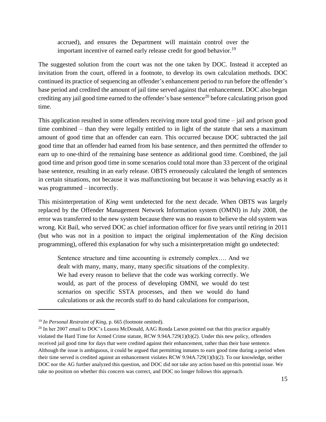accrued), and ensures the Department will maintain control over the important incentive of earned early release credit for good behavior.<sup>19</sup>

The suggested solution from the court was not the one taken by DOC. Instead it accepted an invitation from the court, offered in a footnote, to develop its own calculation methods. DOC continued its practice of sequencing an offender's enhancement period to run before the offender's base period and credited the amount of jail time served against that enhancement. DOC also began crediting any jail good time earned to the offender's base sentence<sup>20</sup> before calculating prison good time.

This application resulted in some offenders receiving more total good time – jail and prison good time combined – than they were legally entitled to in light of the statute that sets a maximum amount of good time that an offender can earn. This occurred because DOC subtracted the jail good time that an offender had earned from his base sentence, and then permitted the offender to earn up to one-third of the remaining base sentence as additional good time. Combined, the jail good time and prison good time in some scenarios could total more than 33 percent of the original base sentence, resulting in an early release. OBTS erroneously calculated the length of sentences in certain situations, not because it was malfunctioning but because it was behaving exactly as it was programmed – incorrectly.

This misinterpretation of *King* went undetected for the next decade. When OBTS was largely replaced by the Offender Management Network Information system (OMNI) in July 2008, the error was transferred to the new system because there was no reason to believe the old system was wrong. Kit Bail, who served DOC as chief information officer for five years until retiring in 2011 (but who was not in a position to impact the original implementation of the *King* decision programming), offered this explanation for why such a misinterpretation might go undetected:

Sentence structure and time accounting is extremely complex…. And we dealt with many, many, many, many specific situations of the complexity. We had every reason to believe that the code was working correctly. We would, as part of the process of developing OMNI, we would do test scenarios on specific SSTA processes, and then we would do hand calculations or ask the records staff to do hand calculations for comparison,

<sup>19</sup> *In Personal Restraint of King,* p. 665 (footnote omitted).

<sup>&</sup>lt;sup>20</sup> In her 2007 email to DOC's Leaora McDonald, AAG Ronda Larson pointed out that this practice arguably violated the Hard Time for Armed Crime statute, RCW 9.94A.729(1)(b)(2). Under this new policy, offenders received jail good time for days that were credited against their enhancement, rather than their base sentence. Although the issue is ambiguous, it could be argued that permitting inmates to earn good time during a period when their time served is credited against an enhancement violates RCW 9.94A.729(1)(b)(2). To our knowledge, neither DOC nor the AG further analyzed this question, and DOC did not take any action based on this potential issue. We take no position on whether this concern was correct, and DOC no longer follows this approach.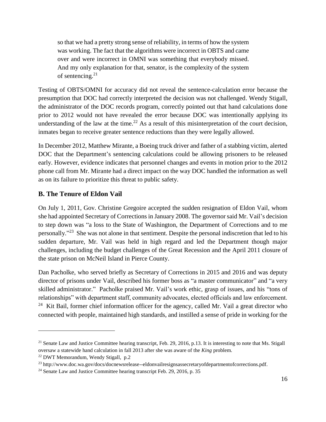so that we had a pretty strong sense of reliability, in terms of how the system was working. The fact that the algorithms were incorrect in OBTS and came over and were incorrect in OMNI was something that everybody missed. And my only explanation for that, senator, is the complexity of the system of sentencing. $21$ 

Testing of OBTS/OMNI for accuracy did not reveal the sentence-calculation error because the presumption that DOC had correctly interpreted the decision was not challenged. Wendy Stigall, the administrator of the DOC records program, correctly pointed out that hand calculations done prior to 2012 would not have revealed the error because DOC was intentionally applying its understanding of the law at the time.<sup>22</sup> As a result of this misinterpretation of the court decision, inmates began to receive greater sentence reductions than they were legally allowed.

In December 2012, Matthew Mirante, a Boeing truck driver and father of a stabbing victim, alerted DOC that the Department's sentencing calculations could be allowing prisoners to be released early. However, evidence indicates that personnel changes and events in motion prior to the 2012 phone call from Mr. Mirante had a direct impact on the way DOC handled the information as well as on its failure to prioritize this threat to public safety.

#### <span id="page-15-0"></span>**B. The Tenure of Eldon Vail**

On July 1, 2011, Gov. Christine Gregoire accepted the sudden resignation of Eldon Vail, whom she had appointed Secretary of Corrections in January 2008. The governor said Mr. Vail's decision to step down was "a loss to the State of Washington, the Department of Corrections and to me personally."<sup>23</sup> She was not alone in that sentiment. Despite the personal indiscretion that led to his sudden departure, Mr. Vail was held in high regard and led the Department though major challenges, including the budget challenges of the Great Recession and the April 2011 closure of the state prison on McNeil Island in Pierce County.

Dan Pacholke, who served briefly as Secretary of Corrections in 2015 and 2016 and was deputy director of prisons under Vail, described his former boss as "a master communicator" and "a very skilled administrator." Pacholke praised Mr. Vail's work ethic, grasp of issues, and his "tons of relationships" with department staff, community advocates, elected officials and law enforcement. <sup>24</sup> Kit Bail, former chief information officer for the agency, called Mr. Vail a great director who connected with people, maintained high standards, and instilled a sense of pride in working for the

<sup>&</sup>lt;sup>21</sup> Senate Law and Justice Committee hearing transcript, Feb. 29, 2016, p.13. It is interesting to note that Ms. Stigall oversaw a statewide hand calculation in fall 2013 after she was aware of the *King* problem.

<sup>22</sup> DWT Memorandum, Wendy Stigall, p.2

<sup>23</sup> http://www.doc.wa.gov/docs/docnewsrelease--eldonvailresignsassecretaryofdepartmentofcorrections.pdf.

<sup>&</sup>lt;sup>24</sup> Senate Law and Justice Committee hearing transcript Feb. 29, 2016, p. 35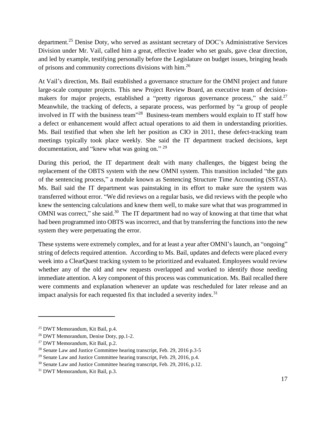department.<sup>25</sup> Denise Doty, who served as assistant secretary of DOC's Administrative Services Division under Mr. Vail, called him a great, effective leader who set goals, gave clear direction, and led by example, testifying personally before the Legislature on budget issues, bringing heads of prisons and community corrections divisions with him.<sup>26</sup>

At Vail's direction, Ms. Bail established a governance structure for the OMNI project and future large-scale computer projects. This new Project Review Board, an executive team of decisionmakers for major projects, established a "pretty rigorous governance process," she said.<sup>27</sup> Meanwhile, the tracking of defects, a separate process, was performed by "a group of people involved in IT with the business team<sup> $128$ </sup> Business-team members would explain to IT staff how a defect or enhancement would affect actual operations to aid them in understanding priorities. Ms. Bail testified that when she left her position as CIO in 2011, these defect-tracking team meetings typically took place weekly. She said the IT department tracked decisions, kept documentation, and "knew what was going on."<sup>29</sup>

During this period, the IT department dealt with many challenges, the biggest being the replacement of the OBTS system with the new OMNI system. This transition included "the guts of the sentencing process," a module known as Sentencing Structure Time Accounting (SSTA). Ms. Bail said the IT department was painstaking in its effort to make sure the system was transferred without error. "We did reviews on a regular basis, we did reviews with the people who knew the sentencing calculations and knew them well, to make sure what that was programmed in OMNI was correct," she said.<sup>30</sup> The IT department had no way of knowing at that time that what had been programmed into OBTS was incorrect, and that by transferring the functions into the new system they were perpetuating the error.

These systems were extremely complex, and for at least a year after OMNI's launch, an "ongoing" string of defects required attention. According to Ms. Bail, updates and defects were placed every week into a ClearQuest tracking system to be prioritized and evaluated. Employees would review whether any of the old and new requests overlapped and worked to identify those needing immediate attention. A key component of this process was communication. Ms. Bail recalled there were comments and explanation whenever an update was rescheduled for later release and an impact analysis for each requested fix that included a severity index.<sup>31</sup>

<sup>25</sup> DWT Memorandum, Kit Bail, p.4.

<sup>26</sup> DWT Memorandum, Denise Doty, pp.1-2.

<sup>27</sup> DWT Memorandum, Kit Bail, p.2.

<sup>&</sup>lt;sup>28</sup> Senate Law and Justice Committee hearing transcript, Feb. 29, 2016 p.3-5

 $29$  Senate Law and Justice Committee hearing transcript, Feb. 29, 2016, p.4.

<sup>30</sup> Senate Law and Justice Committee hearing transcript, Feb. 29, 2016, p.12.

<sup>31</sup> DWT Memorandum, Kit Bail, p.3.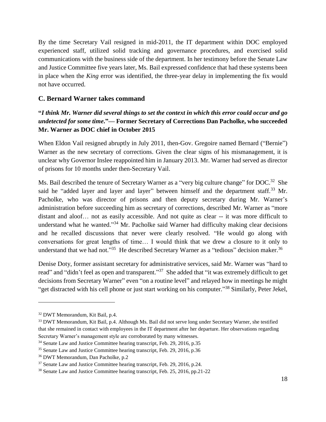By the time Secretary Vail resigned in mid-2011, the IT department within DOC employed experienced staff, utilized solid tracking and governance procedures, and exercised solid communications with the business side of the department. In her testimony before the Senate Law and Justice Committee five years later, Ms. Bail expressed confidence that had these systems been in place when the *King* error was identified, the three-year delay in implementing the fix would not have occurred.

#### <span id="page-17-0"></span>**C. Bernard Warner takes command**

#### **"***I think Mr. Warner did several things to set the context in which this error could occur and go undetected for some time***."— Former Secretary of Corrections Dan Pacholke, who succeeded Mr. Warner as DOC chief in October 2015**

When Eldon Vail resigned abruptly in July 2011, then-Gov. Gregoire named Bernard ("Bernie") Warner as the new secretary of corrections. Given the clear signs of his mismanagement, it is unclear why Governor Inslee reappointed him in January 2013. Mr. Warner had served as director of prisons for 10 months under then-Secretary Vail.

Ms. Bail described the tenure of Secretary Warner as a "very big culture change" for DOC.<sup>32</sup> She said he "added layer and layer and layer" between himself and the department staff.<sup>33</sup> Mr. Pacholke, who was director of prisons and then deputy secretary during Mr. Warner's administration before succeeding him as secretary of corrections, described Mr. Warner as "more distant and aloof… not as easily accessible. And not quite as clear -- it was more difficult to understand what he wanted."<sup>34</sup> Mr. Pacholke said Warner had difficulty making clear decisions and he recalled discussions that never were clearly resolved. "He would go along with conversations for great lengths of time… I would think that we drew a closure to it only to understand that we had not."<sup>35</sup> He described Secretary Warner as a "tedious" decision maker.<sup>36</sup>

Denise Doty, former assistant secretary for administrative services, said Mr. Warner was "hard to read" and "didn't feel as open and transparent."<sup>37</sup> She added that "it was extremely difficult to get decisions from Secretary Warner" even "on a routine level" and relayed how in meetings he might "get distracted with his cell phone or just start working on his computer."<sup>38</sup> Similarly, Peter Jekel,

<sup>32</sup> DWT Memorandum, Kit Bail, p.4.

<sup>&</sup>lt;sup>33</sup> DWT Memorandum, Kit Bail, p.4. Although Ms. Bail did not serve long under Secretary Warner, she testified that she remained in contact with employees in the IT department after her departure. Her observations regarding Secretary Warner's management style are corroborated by many witnesses.

<sup>&</sup>lt;sup>34</sup> Senate Law and Justice Committee hearing transcript, Feb. 29, 2016, p.35

<sup>&</sup>lt;sup>35</sup> Senate Law and Justice Committee hearing transcript, Feb. 29, 2016, p.36

<sup>36</sup> DWT Memorandum, Dan Pacholke, p.2

<sup>&</sup>lt;sup>37</sup> Senate Law and Justice Committee hearing transcript, Feb. 29, 2016, p.24.

<sup>38</sup> Senate Law and Justice Committee hearing transcript, Feb. 25, 2016, pp.21-22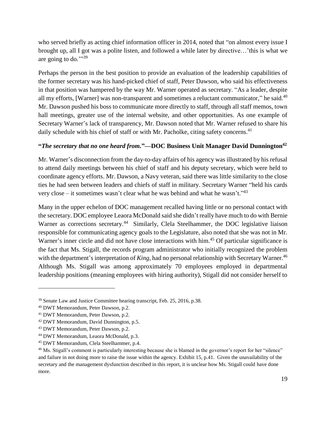who served briefly as acting chief information officer in 2014, noted that "on almost every issue I brought up, all I got was a polite listen, and followed a while later by directive…'this is what we are going to do."<sup>39</sup>

Perhaps the person in the best position to provide an evaluation of the leadership capabilities of the former secretary was his hand-picked chief of staff, Peter Dawson, who said his effectiveness in that position was hampered by the way Mr. Warner operated as secretary. "As a leader, despite all my efforts, [Warner] was non-transparent and sometimes a reluctant communicator," he said.<sup>40</sup> Mr. Dawson pushed his boss to communicate more directly to staff, through all staff memos, town hall meetings, greater use of the internal website, and other opportunities. As one example of Secretary Warner's lack of transparency, Mr. Dawson noted that Mr. Warner refused to share his daily schedule with his chief of staff or with Mr. Pacholke, citing safety concerns.<sup>41</sup>

#### **"***The secretary that no one heard from.***"—DOC Business Unit Manager David Dunnington<sup>42</sup>**

Mr. Warner's disconnection from the day-to-day affairs of his agency was illustrated by his refusal to attend daily meetings between his chief of staff and his deputy secretary, which were held to coordinate agency efforts. Mr. Dawson, a Navy veteran, said there was little similarity to the close ties he had seen between leaders and chiefs of staff in military. Secretary Warner "held his cards very close – it sometimes wasn't clear what he was behind and what he wasn't." $43$ 

Many in the upper echelon of DOC management recalled having little or no personal contact with the secretary. DOC employee Leaora McDonald said she didn't really have much to do with Bernie Warner as corrections secretary.<sup>44</sup> Similarly, Clela Steelhammer, the DOC legislative liaison responsible for communicating agency goals to the Legislature, also noted that she was not in Mr. Warner's inner circle and did not have close interactions with him.<sup>45</sup> Of particular significance is the fact that Ms. Stigall, the records program administrator who initially recognized the problem with the department's interpretation of *King*, had no personal relationship with Secretary Warner.<sup>46</sup> Although Ms. Stigall was among approximately 70 employees employed in departmental leadership positions (meaning employees with hiring authority), Stigall did not consider herself to

<sup>&</sup>lt;sup>39</sup> Senate Law and Justice Committee hearing transcript, Feb. 25, 2016, p.38.

<sup>40</sup> DWT Memorandum, Peter Dawson, p.2.

<sup>41</sup> DWT Memorandum, Peter Dawson, p.2.

<sup>42</sup> DWT Memorandum, David Dunnington, p.5.

<sup>43</sup> DWT Memorandum, Peter Dawson, p.2.

<sup>44</sup> DWT Memorandum, Leaora McDonald, p.3.

<sup>45</sup> DWT Memorandum, Clela Steelhammer, p.4.

<sup>&</sup>lt;sup>46</sup> Ms. Stigall's comment is particularly interesting because she is blamed in the governor's report for her "silence" and failure in not doing more to raise the issue within the agency. Exhibit 15, p.41. Given the unavailability of the secretary and the management dysfunction described in this report, it is unclear how Ms. Stigall could have done more.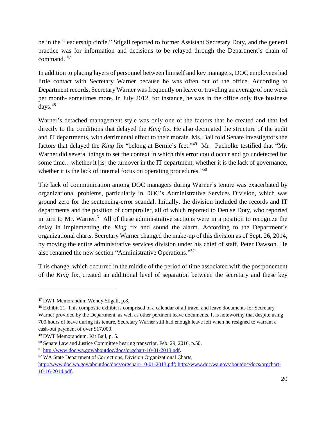be in the "leadership circle." Stigall reported to former Assistant Secretary Doty, and the general practice was for information and decisions to be relayed through the Department's chain of command. <sup>47</sup>

In addition to placing layers of personnel between himself and key managers, DOC employees had little contact with Secretary Warner because he was often out of the office. According to Department records, Secretary Warner was frequently on leave or traveling an average of one week per month- sometimes more. In July 2012, for instance, he was in the office only five business  $d$ ays.<sup>48</sup>

Warner's detached management style was only one of the factors that he created and that led directly to the conditions that delayed the *King* fix. He also decimated the structure of the audit and IT departments, with detrimental effect to their morale. Ms. Bail told Senate investigators the factors that delayed the *King* fix "belong at Bernie's feet."<sup>49</sup> Mr. Pacholke testified that "Mr. Warner did several things to set the context in which this error could occur and go undetected for some time…whether it [is] the turnover in the IT department, whether it is the lack of governance, whether it is the lack of internal focus on operating procedures."<sup>50</sup>

The lack of communication among DOC managers during Warner's tenure was exacerbated by organizational problems, particularly in DOC's Administrative Services Division, which was ground zero for the sentencing-error scandal. Initially, the division included the records and IT departments and the position of comptroller, all of which reported to Denise Doty, who reported in turn to Mr. Warner. <sup>51</sup> All of these administrative sections were in a position to recognize the delay in implementing the *King* fix and sound the alarm. According to the Department's organizational charts, Secretary Warner changed the make-up of this division as of Sept. 26, 2014, by moving the entire administrative services division under his chief of staff, Peter Dawson. He also renamed the new section "Administrative Operations."<sup>52</sup>

This change, which occurred in the middle of the period of time associated with the postponement of the *King* fix, created an additional level of separation between the secretary and these key

<sup>47</sup> DWT Memorandum Wendy Stigall, p.8.

<sup>&</sup>lt;sup>48</sup> Exhibit 21. This composite exhibit is comprised of a calendar of all travel and leave documents for Secretary Warner provided by the Department, as well as other pertinent leave documents. It is noteworthy that despite using 700 hours of leave during his tenure, Secretary Warner still had enough leave left when he resigned to warrant a cash-out payment of over \$17,000.

<sup>49</sup> DWT Memorandum, Kit Bail, p. 5.

<sup>50</sup> Senate Law and Justice Committee hearing transcript, Feb. 29, 2016, p.50.

<sup>51</sup> [http://www.doc.wa.gov/aboutdoc/docs/orgchart-10-01-2013.pdf.](http://www.doc.wa.gov/aboutdoc/docs/orgchart-10-01-2013.pdf)

<sup>52</sup> WA State Department of Corrections, Division Organizational Charts, [http://www.doc.wa.gov/aboutdoc/docs/orgchart-10-01-2013.pdf; http://www.doc.wa.gov/aboutdoc/docs/orgchart-](http://www.doc.wa.gov/aboutdoc/docs/orgchart-10-01-2013.pdf;%20http:/www.doc.wa.gov/aboutdoc/docs/orgchart-10-16-2014.pdf)[10-16-2014.pdf.](http://www.doc.wa.gov/aboutdoc/docs/orgchart-10-01-2013.pdf;%20http:/www.doc.wa.gov/aboutdoc/docs/orgchart-10-16-2014.pdf)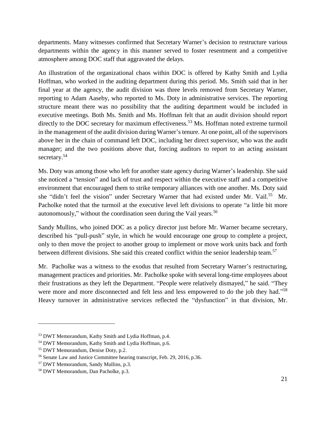departments. Many witnesses confirmed that Secretary Warner's decision to restructure various departments within the agency in this manner served to foster resentment and a competitive atmosphere among DOC staff that aggravated the delays.

An illustration of the organizational chaos within DOC is offered by Kathy Smith and Lydia Hoffman, who worked in the auditing department during this period. Ms. Smith said that in her final year at the agency, the audit division was three levels removed from Secretary Warner, reporting to Adam Aaseby, who reported to Ms. Doty in administrative services. The reporting structure meant there was no possibility that the auditing department would be included in executive meetings. Both Ms. Smith and Ms. Hoffman felt that an audit division should report directly to the DOC secretary for maximum effectiveness.<sup>53</sup> Ms. Hoffman noted extreme turmoil in the management of the audit division during Warner's tenure. At one point, all of the supervisors above her in the chain of command left DOC, including her direct supervisor, who was the audit manager; and the two positions above that, forcing auditors to report to an acting assistant secretary.<sup>54</sup>

Ms. Doty was among those who left for another state agency during Warner's leadership. She said she noticed a "tension" and lack of trust and respect within the executive staff and a competitive environment that encouraged them to strike temporary alliances with one another. Ms. Doty said she "didn't feel the vision" under Secretary Warner that had existed under Mr. Vail.<sup>55</sup> Mr. Pacholke noted that the turmoil at the executive level left divisions to operate "a little bit more autonomously," without the coordination seen during the Vail years. $56$ 

Sandy Mullins, who joined DOC as a policy director just before Mr. Warner became secretary, described his "pull-push" style, in which he would encourage one group to complete a project, only to then move the project to another group to implement or move work units back and forth between different divisions. She said this created conflict within the senior leadership team.<sup>57</sup>

Mr. Pacholke was a witness to the exodus that resulted from Secretary Warner's restructuring, management practices and priorities. Mr. Pacholke spoke with several long-time employees about their frustrations as they left the Department. "People were relatively dismayed," he said. "They were more and more disconnected and felt less and less empowered to do the job they had."<sup>58</sup> Heavy turnover in administrative services reflected the "dysfunction" in that division, Mr.

<sup>53</sup> DWT Memorandum, Kathy Smith and Lydia Hoffman, p.4.

<sup>54</sup> DWT Memorandum, Kathy Smith and Lydia Hoffman, p.6.

<sup>55</sup> DWT Memorandum, Denise Doty, p.2.

<sup>56</sup> Senate Law and Justice Committee hearing transcript, Feb. 29, 2016, p.36.

<sup>57</sup> DWT Memorandum, Sandy Mullins, p.3.

<sup>58</sup> DWT Memorandum, Dan Pacholke, p.3.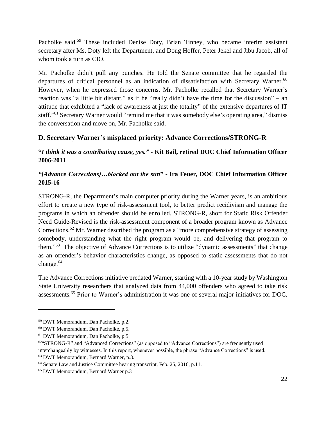Pacholke said.<sup>59</sup> These included Denise Doty, Brian Tinney, who became interim assistant secretary after Ms. Doty left the Department, and Doug Hoffer, Peter Jekel and Jibu Jacob, all of whom took a turn as CIO.

Mr. Pacholke didn't pull any punches. He told the Senate committee that he regarded the departures of critical personnel as an indication of dissatisfaction with Secretary Warner.<sup>60</sup> However, when he expressed those concerns, Mr. Pacholke recalled that Secretary Warner's reaction was "a little bit distant," as if he "really didn't have the time for the discussion" – an attitude that exhibited a "lack of awareness at just the totality" of the extensive departures of IT staff."<sup>61</sup> Secretary Warner would "remind me that it was somebody else's operating area," dismiss the conversation and move on, Mr. Pacholke said.

#### <span id="page-21-0"></span>**D. Secretary Warner's misplaced priority: Advance Corrections/STRONG-R**

#### **"***I think it was a contributing cause, yes." -* **Kit Bail, retired DOC Chief Information Officer 2006-2011**

#### *"[Advance Corrections]…blocked out the sun***" - Ira Feuer, DOC Chief Information Officer 2015-16**

STRONG-R, the Department's main computer priority during the Warner years, is an ambitious effort to create a new type of risk-assessment tool, to better predict recidivism and manage the programs in which an offender should be enrolled. STRONG-R, short for Static Risk Offender Need Guide-Revised is the risk-assessment component of a broader program known as Advance Corrections.<sup>62</sup> Mr. Warner described the program as a "more comprehensive strategy of assessing somebody, understanding what the right program would be, and delivering that program to them."<sup>63</sup> The objective of Advance Corrections is to utilize "dynamic assessments" that change as an offender's behavior characteristics change, as opposed to static assessments that do not change. 64

The Advance Corrections initiative predated Warner, starting with a 10-year study by Washington State University researchers that analyzed data from 44,000 offenders who agreed to take risk assessments.<sup>65</sup> Prior to Warner's administration it was one of several major initiatives for DOC,

<sup>59</sup> DWT Memorandum, Dan Pacholke, p.2.

<sup>60</sup> DWT Memorandum, Dan Pacholke, p.5.

<sup>61</sup> DWT Memorandum, Dan Pacholke, p.5.

<sup>&</sup>lt;sup>62"</sup>STRONG-R" and "Advanced Corrections" (as opposed to "Advance Corrections") are frequently used interchangeably by witnesses. In this report, whenever possible, the phrase "Advance Corrections" is used. <sup>63</sup> DWT Memorandum, Bernard Warner, p.3.

<sup>&</sup>lt;sup>64</sup> Senate Law and Justice Committee hearing transcript, Feb. 25, 2016, p.11.

<sup>65</sup> DWT Memorandum, Bernard Warner p.3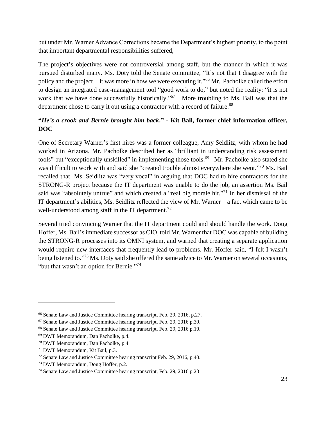but under Mr. Warner Advance Corrections became the Department's highest priority, to the point that important departmental responsibilities suffered,

The project's objectives were not controversial among staff, but the manner in which it was pursued disturbed many. Ms. Doty told the Senate committee, "It's not that I disagree with the policy and the project...It was more in how we were executing it."<sup>66</sup> Mr. Pacholke called the effort to design an integrated case-management tool "good work to do," but noted the reality: "it is not work that we have done successfully historically."<sup>67</sup> More troubling to Ms. Bail was that the department chose to carry it out using a contractor with a record of failure.<sup>68</sup>

#### **"***He's a crook and Bernie brought him back***." - Kit Bail, former chief information officer, DOC**

One of Secretary Warner's first hires was a former colleague, Amy Seidlitz, with whom he had worked in Arizona. Mr. Pacholke described her as "brilliant in understanding risk assessment tools" but "exceptionally unskilled" in implementing those tools.<sup>69</sup> Mr. Pacholke also stated she was difficult to work with and said she "created trouble almost everywhere she went."<sup>70</sup> Ms. Bail recalled that Ms. Seidlitz was "very vocal" in arguing that DOC had to hire contractors for the STRONG-R project because the IT department was unable to do the job, an assertion Ms. Bail said was "absolutely untrue" and which created a "real big morale hit."<sup>71</sup> In her dismissal of the IT department's abilities, Ms. Seidlitz reflected the view of Mr. Warner – a fact which came to be well-understood among staff in the IT department.<sup>72</sup>

Several tried convincing Warner that the IT department could and should handle the work. Doug Hoffer, Ms. Bail's immediate successor as CIO, told Mr. Warner that DOC was capable of building the STRONG-R processes into its OMNI system, and warned that creating a separate application would require new interfaces that frequently lead to problems. Mr. Hoffer said, "I felt I wasn't being listened to."<sup>73</sup> Ms. Doty said she offered the same advice to Mr. Warner on several occasions, "but that wasn't an option for Bernie."<sup>74</sup>

<sup>66</sup> Senate Law and Justice Committee hearing transcript, Feb. 29, 2016, p.27.

<sup>67</sup> Senate Law and Justice Committee hearing transcript, Feb. 29, 2016 p.39.

<sup>68</sup> Senate Law and Justice Committee hearing transcript, Feb. 29, 2016 p.10.

<sup>69</sup> DWT Memorandum, Dan Pacholke, p.4.

<sup>70</sup> DWT Memorandum, Dan Pacholke, p.4.

<sup>71</sup> DWT Memorandum, Kit Bail, p.3.

<sup>72</sup> Senate Law and Justice Committee hearing transcript Feb. 29, 2016, p.40.

<sup>73</sup> DWT Memorandum, Doug Hoffer, p.2.

<sup>74</sup> Senate Law and Justice Committee hearing transcript, Feb. 29, 2016 p.23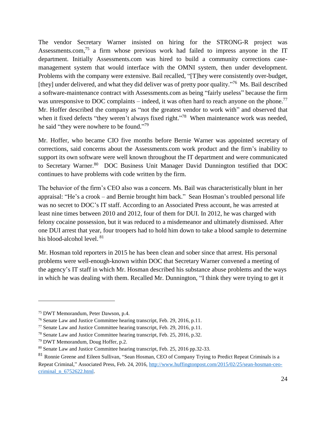The vendor Secretary Warner insisted on hiring for the STRONG-R project was Assessments.com,<sup>75</sup> a firm whose previous work had failed to impress anyone in the IT department. Initially Assessments.com was hired to build a community corrections casemanagement system that would interface with the OMNI system, then under development. Problems with the company were extensive. Bail recalled, "[T]hey were consistently over-budget, [they] under delivered, and what they did deliver was of pretty poor quality."<sup>76</sup> Ms. Bail described a software-maintenance contract with Assessments.com as being "fairly useless" because the firm was unresponsive to DOC complaints – indeed, it was often hard to reach anyone on the phone.<sup>77</sup> Mr. Hoffer described the company as "not the greatest vendor to work with" and observed that when it fixed defects "they weren't always fixed right."<sup>78</sup> When maintenance work was needed, he said "they were nowhere to be found."<sup>79</sup>

Mr. Hoffer, who became CIO five months before Bernie Warner was appointed secretary of corrections, said concerns about the Assessments.com work product and the firm's inability to support its own software were well known throughout the IT department and were communicated to Secretary Warner.<sup>80</sup> DOC Business Unit Manager David Dunnington testified that DOC continues to have problems with code written by the firm.

The behavior of the firm's CEO also was a concern. Ms. Bail was characteristically blunt in her appraisal: "He's a crook – and Bernie brought him back." Sean Hosman's troubled personal life was no secret to DOC's IT staff. According to an Associated Press account, he was arrested at least nine times between 2010 and 2012, four of them for DUI. In 2012, he was charged with felony cocaine possession, but it was reduced to a misdemeanor and ultimately dismissed. After one DUI arrest that year, four troopers had to hold him down to take a blood sample to determine his blood-alcohol level. <sup>81</sup>

Mr. Hosman told reporters in 2015 he has been clean and sober since that arrest. His personal problems were well-enough-known within DOC that Secretary Warner convened a meeting of the agency's IT staff in which Mr. Hosman described his substance abuse problems and the ways in which he was dealing with them. Recalled Mr. Dunnington, "I think they were trying to get it

<sup>75</sup> DWT Memorandum, Peter Dawson, p.4.

<sup>76</sup> Senate Law and Justice Committee hearing transcript, Feb. 29, 2016, p.11.

<sup>77</sup> Senate Law and Justice Committee hearing transcript, Feb. 29, 2016, p.11.

<sup>78</sup> Senate Law and Justice Committee hearing transcript, Feb. 25, 2016, p.32.

<sup>79</sup> DWT Memorandum, Doug Hoffer, p.2.

<sup>80</sup> Senate Law and Justice Committee hearing transcript, Feb. 25, 2016 pp.32-33.

<sup>&</sup>lt;sup>81</sup> Ronnie Greene and Eileen Sullivan, "Sean Hosman, CEO of Company Trying to Predict Repeat Criminals is a Repeat Criminal," Associated Press, Feb. 24, 2016[, http://www.huffingtonpost.com/2015/02/25/sean-hosman-ceo](http://www.huffingtonpost.com/2015/02/25/sean-hosman-ceo-criminal_n_6752622.html)[criminal\\_n\\_6752622.html.](http://www.huffingtonpost.com/2015/02/25/sean-hosman-ceo-criminal_n_6752622.html)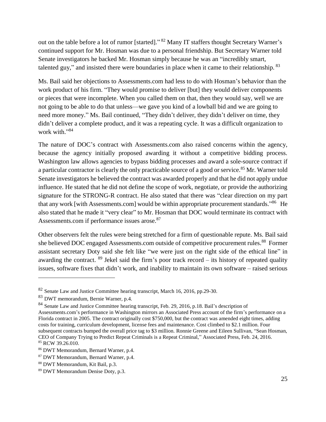out on the table before a lot of rumor [started]."<sup>82</sup> Many IT staffers thought Secretary Warner's continued support for Mr. Hosman was due to a personal friendship. But Secretary Warner told Senate investigators he backed Mr. Hosman simply because he was an "incredibly smart, talented guy," and insisted there were boundaries in place when it came to their relationship. <sup>83</sup>

Ms. Bail said her objections to Assessments.com had less to do with Hosman's behavior than the work product of his firm. "They would promise to deliver [but] they would deliver components or pieces that were incomplete. When you called them on that, then they would say, well we are not going to be able to do that unless—we gave you kind of a lowball bid and we are going to need more money." Ms. Bail continued, "They didn't deliver, they didn't deliver on time, they didn't deliver a complete product, and it was a repeating cycle. It was a difficult organization to work with."<sup>84</sup>

The nature of DOC's contract with Assessments.com also raised concerns within the agency, because the agency initially proposed awarding it without a competitive bidding process. Washington law allows agencies to bypass bidding processes and award a sole-source contract if a particular contractor is clearly the only practicable source of a good or service.<sup>85</sup> Mr. Warner told Senate investigators he believed the contract was awarded properly and that he did not apply undue influence. He stated that he did not define the scope of work, negotiate, or provide the authorizing signature for the STRONG-R contract. He also stated that there was "clear direction on my part that any work [with Assessments.com] would be within appropriate procurement standards."<sup>86</sup> He also stated that he made it "very clear" to Mr. Hosman that DOC would terminate its contract with Assessments.com if performance issues arose.<sup>87</sup>

Other observers felt the rules were being stretched for a firm of questionable repute. Ms. Bail said she believed DOC engaged Assessments.com outside of competitive procurement rules.<sup>88</sup> Former assistant secretary Doty said she felt like "we were just on the right side of the ethical line" in awarding the contract.  $89$  Jekel said the firm's poor track record – its history of repeated quality issues, software fixes that didn't work, and inability to maintain its own software – raised serious

<sup>&</sup>lt;sup>82</sup> Senate Law and Justice Committee hearing transcript, March 16, 2016, pp.29-30.

<sup>83</sup> DWT memorandum, Bernie Warner, p.4.

<sup>&</sup>lt;sup>84</sup> Senate Law and Justice Committee hearing transcript, Feb. 29, 2016, p.18. Bail's description of

Assessments.com's performance in Washington mirrors an Associated Press account of the firm's performance on a Florida contract in 2005. The contract originally cost \$750,000, but the contract was amended eight times, adding costs for training, curriculum development, license fees and maintenance. Cost climbed to \$2.1 million. Four subsequent contracts bumped the overall price tag to \$3 million. Ronnie Greene and Eileen Sullivan, "Sean Hosman, CEO of Company Trying to Predict Repeat Criminals is a Repeat Criminal," Associated Press, Feb. 24, 2016. 85 RCW 39.26.010.

<sup>86</sup> DWT Memorandum, Bernard Warner, p.4.

<sup>87</sup> DWT Memorandum, Bernard Warner, p.4.

<sup>88</sup> DWT Memorandum, Kit Bail, p.3.

<sup>89</sup> DWT Memorandum Denise Doty, p.3.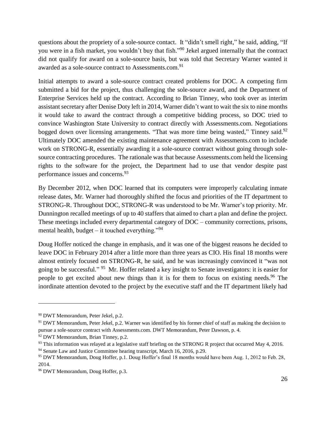questions about the propriety of a sole-source contact. It "didn't smell right," he said, adding, "If you were in a fish market, you wouldn't buy that fish."<sup>90</sup> Jekel argued internally that the contract did not qualify for award on a sole-source basis, but was told that Secretary Warner wanted it awarded as a sole-source contract to Assessments.com.<sup>91</sup>

Initial attempts to award a sole-source contract created problems for DOC. A competing firm submitted a bid for the project, thus challenging the sole-source award, and the Department of Enterprise Services held up the contract. According to Brian Tinney, who took over as interim assistant secretary after Denise Doty left in 2014, Warner didn't want to wait the six to nine months it would take to award the contract through a competitive bidding process, so DOC tried to convince Washington State University to contract directly with Assessments.com. Negotiations bogged down over licensing arrangements. "That was more time being wasted," Tinney said.<sup>92</sup> Ultimately DOC amended the existing maintenance agreement with Assessments.com to include work on STRONG-R, essentially awarding it a sole-source contract without going through solesource contracting procedures. The rationale was that because Assessments.com held the licensing rights to the software for the project, the Department had to use that vendor despite past performance issues and concerns.<sup>93</sup>

By December 2012, when DOC learned that its computers were improperly calculating inmate release dates, Mr. Warner had thoroughly shifted the focus and priorities of the IT department to STRONG-R. Throughout DOC, STRONG-R was understood to be Mr. Warner's top priority. Mr. Dunnington recalled meetings of up to 40 staffers that aimed to chart a plan and define the project. These meetings included every departmental category of DOC – community corrections, prisons, mental health, budget – it touched everything."<sup>94</sup>

Doug Hoffer noticed the change in emphasis, and it was one of the biggest reasons he decided to leave DOC in February 2014 after a little more than three years as CIO. His final 18 months were almost entirely focused on STRONG-R, he said, and he was increasingly convinced it "was not going to be successful."<sup>95</sup> Mr. Hoffer related a key insight to Senate investigators: it is easier for people to get excited about new things than it is for them to focus on existing needs. <sup>96</sup> The inordinate attention devoted to the project by the executive staff and the IT department likely had

<sup>90</sup> DWT Memorandum, Peter Jekel, p.2.

<sup>&</sup>lt;sup>91</sup> DWT Memorandum, Peter Jekel, p.2. Warner was identified by his former chief of staff as making the decision to pursue a sole-source contract with Assessments.com. DWT Memorandum, Peter Dawson, p. 4.

<sup>&</sup>lt;sup>92</sup> DWT Memorandum, Brian Tinney, p.2.

 $93$  This information was relayed at a legislative staff briefing on the STRONG R project that occurred May 4, 2016.

<sup>&</sup>lt;sup>94</sup> Senate Law and Justice Committee hearing transcript, March 16, 2016, p.29.

<sup>95</sup> DWT Memorandum, Doug Hoffer, p.1. Doug Hoffer's final 18 months would have been Aug. 1, 2012 to Feb. 28, 2014.

<sup>96</sup> DWT Memorandum, Doug Hoffer, p.3.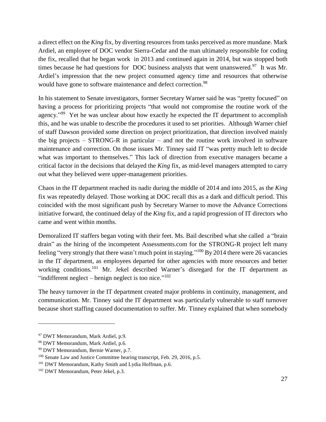a direct effect on the *King* fix, by diverting resources from tasks perceived as more mundane. Mark Ardiel, an employee of DOC vendor Sierra-Cedar and the man ultimately responsible for coding the fix, recalled that he began work in 2013 and continued again in 2014, but was stopped both times because he had questions for DOC business analysts that went unanswered.<sup>97</sup> It was Mr. Ardiel's impression that the new project consumed agency time and resources that otherwise would have gone to software maintenance and defect correction.<sup>98</sup>

In his statement to Senate investigators, former Secretary Warner said he was "pretty focused" on having a process for prioritizing projects "that would not compromise the routine work of the agency."<sup>99</sup> Yet he was unclear about how exactly he expected the IT department to accomplish this, and he was unable to describe the procedures it used to set priorities. Although Warner chief of staff Dawson provided some direction on project prioritization, that direction involved mainly the big projects – STRONG-R in particular – and not the routine work involved in software maintenance and correction. On those issues Mr. Tinney said IT "was pretty much left to decide what was important to themselves." This lack of direction from executive managers became a critical factor in the decisions that delayed the *King* fix, as mid-level managers attempted to carry out what they believed were upper-management priorities.

Chaos in the IT department reached its nadir during the middle of 2014 and into 2015, as the *King* fix was repeatedly delayed. Those working at DOC recall this as a dark and difficult period. This coincided with the most significant push by Secretary Warner to move the Advance Corrections initiative forward, the continued delay of the *King* fix, and a rapid progression of IT directors who came and went within months.

Demoralized IT staffers began voting with their feet. Ms. Bail described what she called a "brain drain" as the hiring of the incompetent Assessments.com for the STRONG-R project left many feeling "very strongly that there wasn't much point in staying."<sup>100</sup> By 2014 there were 26 vacancies in the IT department, as employees departed for other agencies with more resources and better working conditions.<sup>101</sup> Mr. Jekel described Warner's disregard for the IT department as "indifferent neglect  $-$  benign neglect is too nice."<sup>102</sup>

The heavy turnover in the IT department created major problems in continuity, management, and communication. Mr. Tinney said the IT department was particularly vulnerable to staff turnover because short staffing caused documentation to suffer. Mr. Tinney explained that when somebody

<sup>97</sup> DWT Memorandum, Mark Ardiel, p.9.

<sup>98</sup> DWT Memorandum, Mark Ardiel, p.6.

<sup>99</sup> DWT Memorandum, Bernie Warner, p.7.

<sup>&</sup>lt;sup>100</sup> Senate Law and Justice Committee hearing transcript, Feb. 29, 2016, p.5.

<sup>101</sup> DWT Memorandum, Kathy Smith and Lydia Hoffman, p.6.

<sup>102</sup> DWT Memorandum, Peter Jekel, p.3.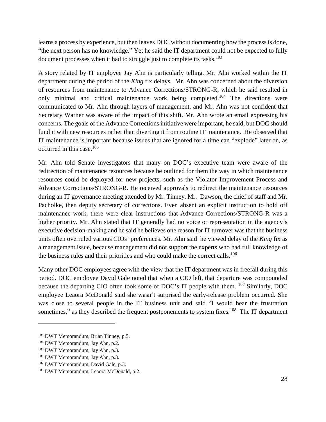learns a process by experience, but then leaves DOC without documenting how the process is done, "the next person has no knowledge." Yet he said the IT department could not be expected to fully document processes when it had to struggle just to complete its tasks.<sup>103</sup>

A story related by IT employee Jay Ahn is particularly telling. Mr. Ahn worked within the IT department during the period of the *King* fix delays. Mr. Ahn was concerned about the diversion of resources from maintenance to Advance Corrections/STRONG-R, which he said resulted in only minimal and critical maintenance work being completed.<sup>104</sup> The directions were communicated to Mr. Ahn through layers of management, and Mr. Ahn was not confident that Secretary Warner was aware of the impact of this shift. Mr. Ahn wrote an email expressing his concerns. The goals of the Advance Corrections initiative were important, he said, but DOC should fund it with new resources rather than diverting it from routine IT maintenance. He observed that IT maintenance is important because issues that are ignored for a time can "explode" later on, as occurred in this case.<sup>105</sup>

Mr. Ahn told Senate investigators that many on DOC's executive team were aware of the redirection of maintenance resources because he outlined for them the way in which maintenance resources could be deployed for new projects, such as the Violator Improvement Process and Advance Corrections/STRONG-R. He received approvals to redirect the maintenance resources during an IT governance meeting attended by Mr. Tinney, Mr. Dawson, the chief of staff and Mr. Pacholke, then deputy secretary of corrections. Even absent an explicit instruction to hold off maintenance work, there were clear instructions that Advance Corrections/STRONG-R was a higher priority. Mr. Ahn stated that IT generally had no voice or representation in the agency's executive decision-making and he said he believes one reason for IT turnover was that the business units often overruled various CIOs' preferences. Mr. Ahn said he viewed delay of the *King* fix as a management issue, because management did not support the experts who had full knowledge of the business rules and their priorities and who could make the correct calls.<sup>106</sup>

Many other DOC employees agree with the view that the IT department was in freefall during this period. DOC employee David Gale noted that when a CIO left, that departure was compounded because the departing CIO often took some of DOC's IT people with them. <sup>107</sup> Similarly, DOC employee Leaora McDonald said she wasn't surprised the early-release problem occurred. She was close to several people in the IT business unit and said "I would hear the frustration sometimes," as they described the frequent postponements to system fixes.<sup>108</sup> The IT department

<sup>103</sup> DWT Memorandum, Brian Tinney, p.5.

<sup>104</sup> DWT Memorandum, Jay Ahn, p.2.

<sup>105</sup> DWT Memorandum, Jay Ahn, p.3.

<sup>106</sup> DWT Memorandum, Jay Ahn, p.3.

<sup>&</sup>lt;sup>107</sup> DWT Memorandum, David Gale, p.3.

<sup>108</sup> DWT Memorandum, Leaora McDonald, p.2.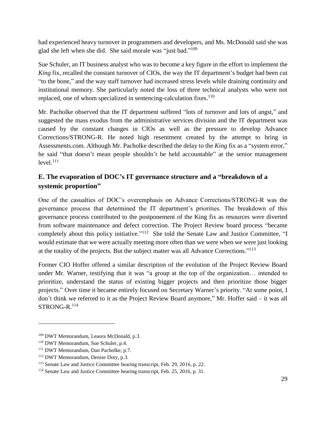had experienced heavy turnover in programmers and developers, and Ms. McDonald said she was glad she left when she did. She said morale was "just bad."<sup>109</sup>

Sue Schuler, an IT business analyst who was to become a key figure in the effort to implement the *King* fix, recalled the constant turnover of CIOs, the way the IT department's budget had been cut "to the bone," and the way staff turnover had increased stress levels while draining continuity and institutional memory. She particularly noted the loss of three technical analysts who were not replaced, one of whom specialized in sentencing-calculation fixes.<sup>110</sup>

Mr. Pacholke observed that the IT department suffered "lots of turnover and lots of angst," and suggested the mass exodus from the administrative services division and the IT department was caused by the constant changes in CIOs as well as the pressure to develop Advance Corrections/STRONG-R. He noted high resentment created by the attempt to bring in Assessments.com. Although Mr. Pacholke described the delay to the *King* fix as a "system error," he said "that doesn't mean people shouldn't be held accountable" at the senior management  $level<sub>111</sub>$ 

#### <span id="page-28-0"></span>**E. The evaporation of DOC's IT governance structure and a "breakdown of a systemic proportion"**

One of the casualties of DOC's overemphasis on Advance Corrections/STRONG-R was the governance process that determined the IT department's priorities. The breakdown of this governance process contributed to the postponement of the King fix as resources were diverted from software maintenance and defect correction. The Project Review board process "became completely about this policy initiative."<sup>112</sup> She told the Senate Law and Justice Committee, "I would estimate that we were actually meeting more often than we were when we were just looking at the totality of the projects. But the subject matter was all Advance Corrections."<sup>113</sup>

Former CIO Hoffer offered a similar description of the evolution of the Project Review Board under Mr. Warner, testifying that it was "a group at the top of the organization… intended to prioritize, understand the status of existing bigger projects and then prioritize those bigger projects." Over time it became entirely focused on Secretary Warner's priority. "At some point, I don't think we referred to it as the Project Review Board anymore," Mr. Hoffer said – it was all STRONG-R. 114

<sup>109</sup> DWT Memorandum, Leaora McDonald, p.3.

<sup>110</sup> DWT Memorandum, Sue Schuler, p.4.

<sup>111</sup> DWT Memorandum, Dan Pacholke, p.7.

<sup>112</sup> DWT Memorandum, Denise Doty, p.3.

<sup>113</sup> Senate Law and Justice Committee hearing transcript, Feb. 29, 2016, p. 22.

<sup>114</sup> Senate Law and Justice Committee hearing transcript, Feb. 25, 2016, p. 31.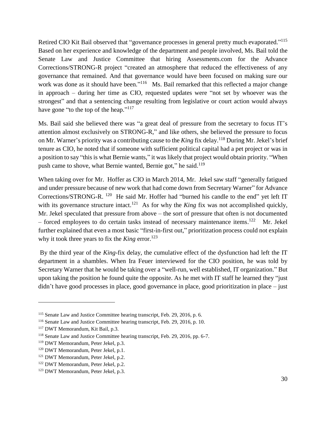Retired CIO Kit Bail observed that "governance processes in general pretty much evaporated."<sup>115</sup> Based on her experience and knowledge of the department and people involved, Ms. Bail told the Senate Law and Justice Committee that hiring Assessments.com for the Advance Corrections/STRONG-R project "created an atmosphere that reduced the effectiveness of any governance that remained. And that governance would have been focused on making sure our work was done as it should have been."<sup>116</sup> Ms. Bail remarked that this reflected a major change in approach – during her time as CIO, requested updates were "not set by whoever was the strongest" and that a sentencing change resulting from legislative or court action would always have gone "to the top of the heap."<sup>117</sup>

Ms. Bail said she believed there was "a great deal of pressure from the secretary to focus IT's attention almost exclusively on STRONG-R," and like others, she believed the pressure to focus on Mr. Warner's priority was a contributing cause to the *King* fix delay.<sup>118</sup> During Mr. Jekel's brief tenure as CIO, he noted that if someone with sufficient political capital had a pet project or was in a position to say "this is what Bernie wants," it was likely that project would obtain priority. "When push came to shove, what Bernie wanted, Bernie got," he said.<sup>119</sup>

When taking over for Mr. Hoffer as CIO in March 2014, Mr. Jekel saw staff "generally fatigued and under pressure because of new work that had come down from Secretary Warner" for Advance Corrections/STRONG-R. <sup>120</sup> He said Mr. Hoffer had "burned his candle to the end" yet left IT with its governance structure intact.<sup>121</sup> As for why the *King* fix was not accomplished quickly, Mr. Jekel speculated that pressure from above – the sort of pressure that often is not documented – forced employees to do certain tasks instead of necessary maintenance items.<sup>122</sup> Mr. Jekel further explained that even a most basic "first-in-first out," prioritization process could not explain why it took three years to fix the *King* error. 123

By the third year of the *King-*fix delay, the cumulative effect of the dysfunction had left the IT department in a shambles. When Ira Feuer interviewed for the CIO position, he was told by Secretary Warner that he would be taking over a "well-run, well established, IT organization." But upon taking the position he found quite the opposite. As he met with IT staff he learned they "just didn't have good processes in place, good governance in place, good prioritization in place – just

<sup>115</sup> Senate Law and Justice Committee hearing transcript, Feb. 29, 2016, p. 6.

<sup>116</sup> Senate Law and Justice Committee hearing transcript, Feb. 29, 2016, p. 10.

<sup>117</sup> DWT Memorandum, Kit Bail, p.3.

<sup>118</sup> Senate Law and Justice Committee hearing transcript, Feb. 29, 2016, pp. 6-7.

<sup>119</sup> DWT Memorandum, Peter Jekel, p.3.

<sup>&</sup>lt;sup>120</sup> DWT Memorandum, Peter Jekel, p.1.

<sup>&</sup>lt;sup>121</sup> DWT Memorandum, Peter Jekel, p.2.

<sup>122</sup> DWT Memorandum, Peter Jekel, p.2.

<sup>123</sup> DWT Memorandum, Peter Jekel, p.3.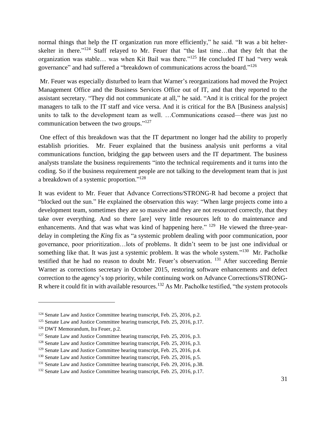normal things that help the IT organization run more efficiently," he said. "It was a bit helterskelter in there."<sup>124</sup> Staff relayed to Mr. Feuer that "the last time...that they felt that the organization was stable... was when Kit Bail was there."<sup>125</sup> He concluded IT had "very weak governance" and had suffered a "breakdown of communications across the board."<sup>126</sup>

Mr. Feuer was especially disturbed to learn that Warner's reorganizations had moved the Project Management Office and the Business Services Office out of IT, and that they reported to the assistant secretary. "They did not communicate at all," he said. "And it is critical for the project managers to talk to the IT staff and vice versa. And it is critical for the BA [Business analysis] units to talk to the development team as well. …Communications ceased—there was just no communication between the two groups."<sup>127</sup>

One effect of this breakdown was that the IT department no longer had the ability to properly establish priorities. Mr. Feuer explained that the business analysis unit performs a vital communications function, bridging the gap between users and the IT department. The business analysts translate the business requirements "into the technical requirements and it turns into the coding. So if the business requirement people are not talking to the development team that is just a breakdown of a systemic proportion."<sup>128</sup>

It was evident to Mr. Feuer that Advance Corrections/STRONG-R had become a project that "blocked out the sun." He explained the observation this way: "When large projects come into a development team, sometimes they are so massive and they are not resourced correctly, that they take over everything. And so there [are] very little resources left to do maintenance and enhancements. And that was what was kind of happening here."  $^{129}$  He viewed the three-yeardelay in completing the *King* fix as "a systemic problem dealing with poor communication, poor governance, poor prioritization…lots of problems. It didn't seem to be just one individual or something like that. It was just a systemic problem. It was the whole system."<sup>130</sup> Mr. Pacholke testified that he had no reason to doubt Mr. Feuer's observation. <sup>131</sup> After succeeding Bernie Warner as corrections secretary in October 2015, restoring software enhancements and defect correction to the agency's top priority, while continuing work on Advance Corrections/STRONG-R where it could fit in with available resources.<sup>132</sup> As Mr. Pacholke testified, "the system protocols

<sup>&</sup>lt;sup>124</sup> Senate Law and Justice Committee hearing transcript, Feb. 25, 2016, p.2.

<sup>&</sup>lt;sup>125</sup> Senate Law and Justice Committee hearing transcript, Feb. 25, 2016, p.17.

<sup>126</sup> DWT Memorandum, Ira Feuer, p.2.

<sup>&</sup>lt;sup>127</sup> Senate Law and Justice Committee hearing transcript, Feb. 25, 2016, p.3.

<sup>&</sup>lt;sup>128</sup> Senate Law and Justice Committee hearing transcript, Feb. 25, 2016, p.3.

<sup>&</sup>lt;sup>129</sup> Senate Law and Justice Committee hearing transcript, Feb. 25, 2016, p.4.

<sup>&</sup>lt;sup>130</sup> Senate Law and Justice Committee hearing transcript, Feb. 25, 2016, p.5.

<sup>&</sup>lt;sup>131</sup> Senate Law and Justice Committee hearing transcript, Feb. 29, 2016, p.38.

<sup>&</sup>lt;sup>132</sup> Senate Law and Justice Committee hearing transcript, Feb. 25, 2016, p.17.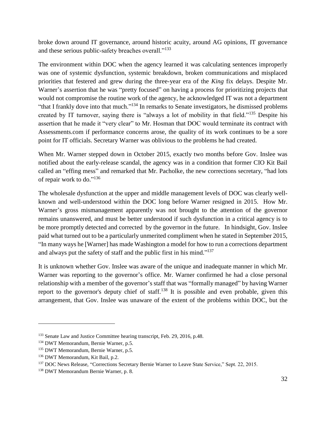broke down around IT governance, around historic acuity, around AG opinions, IT governance and these serious public-safety breaches overall."<sup>133</sup>

The environment within DOC when the agency learned it was calculating sentences improperly was one of systemic dysfunction, systemic breakdown, broken communications and misplaced priorities that festered and grew during the three-year era of the *King* fix delays. Despite Mr. Warner's assertion that he was "pretty focused" on having a process for prioritizing projects that would not compromise the routine work of the agency, he acknowledged IT was not a department "that I frankly dove into that much."<sup>134</sup> In remarks to Senate investigators, he dismissed problems created by IT turnover, saying there is "always a lot of mobility in that field."<sup>135</sup> Despite his assertion that he made it "very clear" to Mr. Hosman that DOC would terminate its contract with Assessments.com if performance concerns arose, the quality of its work continues to be a sore point for IT officials. Secretary Warner was oblivious to the problems he had created.

When Mr. Warner stepped down in October 2015, exactly two months before Gov. Inslee was notified about the early-release scandal, the agency was in a condition that former CIO Kit Bail called an "effing mess" and remarked that Mr. Pacholke, the new corrections secretary, "had lots of repair work to do." 136

The wholesale dysfunction at the upper and middle management levels of DOC was clearly wellknown and well-understood within the DOC long before Warner resigned in 2015. How Mr. Warner's gross mismanagement apparently was not brought to the attention of the governor remains unanswered, and must be better understood if such dysfunction in a critical agency is to be more promptly detected and corrected by the governor in the future. In hindsight, Gov. Inslee paid what turned out to be a particularly unmerited compliment when he stated in September 2015, "In many ways he [Warner] has made Washington a model for how to run a corrections department and always put the safety of staff and the public first in his mind."<sup>137</sup>

It is unknown whether Gov. Inslee was aware of the unique and inadequate manner in which Mr. Warner was reporting to the governor's office. Mr. Warner confirmed he had a close personal relationship with a member of the governor's staff that was "formally managed" by having Warner report to the governor's deputy chief of staff.<sup>138</sup> It is possible and even probable, given this arrangement, that Gov. Inslee was unaware of the extent of the problems within DOC, but the

<sup>&</sup>lt;sup>133</sup> Senate Law and Justice Committee hearing transcript, Feb. 29, 2016, p.48.

<sup>134</sup> DWT Memorandum, Bernie Warner, p.5.

<sup>135</sup> DWT Memorandum, Bernie Warner, p.5.

<sup>136</sup> DWT Memorandum, Kit Bail, p.2.

<sup>&</sup>lt;sup>137</sup> DOC News Release, "Corrections Secretary Bernie Warner to Leave State Service," Sept. 22, 2015.

<sup>138</sup> DWT Memorandum Bernie Warner, p. 8.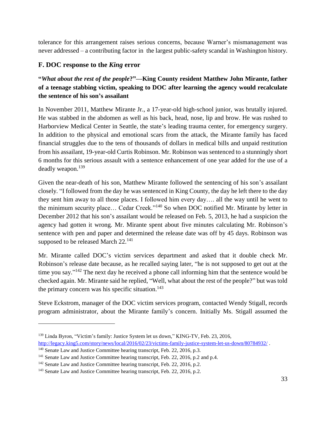tolerance for this arrangement raises serious concerns, because Warner's mismanagement was never addressed – a contributing factor in the largest public-safety scandal in Washington history.

#### <span id="page-32-0"></span>**F. DOC response to the** *King* **error**

#### **"***What about the rest of the people***?"—King County resident Matthew John Mirante, father of a teenage stabbing victim, speaking to DOC after learning the agency would recalculate the sentence of his son's assailant**

In November 2011, Matthew Mirante Jr., a 17-year-old high-school junior, was brutally injured. He was stabbed in the abdomen as well as his back, head, nose, lip and brow. He was rushed to Harborview Medical Center in Seattle, the state's leading trauma center, for emergency surgery. In addition to the physical and emotional scars from the attack, the Mirante family has faced financial struggles due to the tens of thousands of dollars in medical bills and unpaid restitution from his assailant, 19-year-old Curtis Robinson. Mr. Robinson was sentenced to a stunningly short 6 months for this serious assault with a sentence enhancement of one year added for the use of a deadly weapon.<sup>139</sup>

Given the near-death of his son, Matthew Mirante followed the sentencing of his son's assailant closely. "I followed from the day he was sentenced in King County, the day he left there to the day they sent him away to all those places. I followed him every day…. all the way until he went to the minimum security place... Cedar Creek."<sup>140</sup> So when DOC notified Mr. Mirante by letter in December 2012 that his son's assailant would be released on Feb. 5, 2013, he had a suspicion the agency had gotten it wrong. Mr. Mirante spent about five minutes calculating Mr. Robinson's sentence with pen and paper and determined the release date was off by 45 days. Robinson was supposed to be released March 22.<sup>141</sup>

Mr. Mirante called DOC's victim services department and asked that it double check Mr. Robinson's release date because, as he recalled saying later, "he is not supposed to get out at the time you say."<sup>142</sup> The next day he received a phone call informing him that the sentence would be checked again. Mr. Mirante said he replied, "Well, what about the rest of the people?" but was told the primary concern was his specific situation. $143$ 

Steve Eckstrom, manager of the DOC victim services program, contacted Wendy Stigall, records program administrator, about the Mirante family's concern. Initially Ms. Stigall assumed the

<sup>139</sup> Linda Byron, "Victim's family: Justice System let us down," KING-TV, Feb. 23, 2016, <http://legacy.king5.com/story/news/local/2016/02/23/victims-family-justice-system-let-us-down/80784932/>.

<sup>&</sup>lt;sup>140</sup> Senate Law and Justice Committee hearing transcript, Feb. 22, 2016, p.3.

<sup>&</sup>lt;sup>141</sup> Senate Law and Justice Committee hearing transcript, Feb. 22, 2016, p.2 and p.4.

<sup>&</sup>lt;sup>142</sup> Senate Law and Justice Committee hearing transcript, Feb. 22, 2016, p.2.

<sup>&</sup>lt;sup>143</sup> Senate Law and Justice Committee hearing transcript, Feb. 22, 2016, p.2.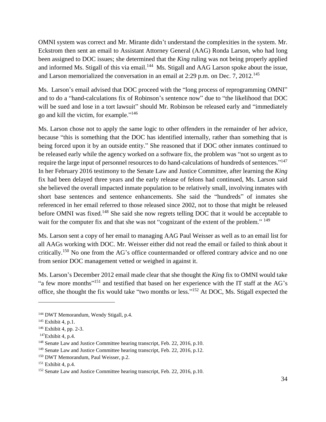OMNI system was correct and Mr. Mirante didn't understand the complexities in the system. Mr. Eckstrom then sent an email to Assistant Attorney General (AAG) Ronda Larson, who had long been assigned to DOC issues; she determined that the *King* ruling was not being properly applied and informed Ms. Stigall of this via email.<sup>144</sup> Ms. Stigall and AAG Larson spoke about the issue, and Larson memorialized the conversation in an email at 2:29 p.m. on Dec. 7, 2012. 145

Ms. Larson's email advised that DOC proceed with the "long process of reprogramming OMNI" and to do a "hand-calculations fix of Robinson's sentence now" due to "the likelihood that DOC will be sued and lose in a tort lawsuit" should Mr. Robinson be released early and "immediately go and kill the victim, for example." 146

Ms. Larson chose not to apply the same logic to other offenders in the remainder of her advice, because "this is something that the DOC has identified internally, rather than something that is being forced upon it by an outside entity." She reasoned that if DOC other inmates continued to be released early while the agency worked on a software fix, the problem was "not so urgent as to require the large input of personnel resources to do hand-calculations of hundreds of sentences."<sup>147</sup> In her February 2016 testimony to the Senate Law and Justice Committee, after learning the *King* fix had been delayed three years and the early release of felons had continued, Ms. Larson said she believed the overall impacted inmate population to be relatively small, involving inmates with short base sentences and sentence enhancements. She said the "hundreds" of inmates she referenced in her email referred to those released since 2002, not to those that might be released before OMNI was fixed.<sup>148</sup> She said she now regrets telling DOC that it would be acceptable to wait for the computer fix and that she was not "cognizant of the extent of the problem." <sup>149</sup>

Ms. Larson sent a copy of her email to managing AAG Paul Weisser as well as to an email list for all AAGs working with DOC. Mr. Weisser either did not read the email or failed to think about it critically.<sup>150</sup> No one from the AG's office countermanded or offered contrary advice and no one from senior DOC management vetted or weighed in against it.

Ms. Larson's December 2012 email made clear that she thought the *King* fix to OMNI would take "a few more months"<sup>151</sup> and testified that based on her experience with the IT staff at the AG's office, she thought the fix would take "two months or less."<sup>152</sup> At DOC, Ms. Stigall expected the

<sup>144</sup> DWT Memorandum, Wendy Stigall, p.4.

<sup>145</sup> Exhibit 4, p.1.

<sup>146</sup> Exhibit 4, pp. 2-3.

 $147$ Exhibit 4, p.4.

<sup>&</sup>lt;sup>148</sup> Senate Law and Justice Committee hearing transcript, Feb. 22, 2016, p.10.

<sup>&</sup>lt;sup>149</sup> Senate Law and Justice Committee hearing transcript, Feb. 22, 2016, p.12.

<sup>&</sup>lt;sup>150</sup> DWT Memorandum, Paul Weisser, p.2.

<sup>151</sup> Exhibit 4, p.4.

<sup>&</sup>lt;sup>152</sup> Senate Law and Justice Committee hearing transcript, Feb. 22, 2016, p.10.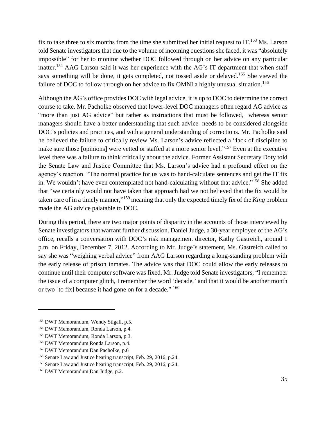fix to take three to six months from the time she submitted her initial request to  $IT$ .<sup>153</sup> Ms. Larson told Senate investigators that due to the volume of incoming questions she faced, it was "absolutely impossible" for her to monitor whether DOC followed through on her advice on any particular matter.<sup>154</sup> AAG Larson said it was her experience with the AG's IT department that when staff says something will be done, it gets completed, not tossed aside or delayed.<sup>155</sup> She viewed the failure of DOC to follow through on her advice to fix OMNI a highly unusual situation.<sup>156</sup>

Although the AG's office provides DOC with legal advice, it is up to DOC to determine the correct course to take. Mr. Pacholke observed that lower-level DOC managers often regard AG advice as "more than just AG advice" but rather as instructions that must be followed, whereas senior managers should have a better understanding that such advice needs to be considered alongside DOC's policies and practices, and with a general understanding of corrections. Mr. Pacholke said he believed the failure to critically review Ms. Larson's advice reflected a "lack of discipline to make sure those [opinions] were vetted or staffed at a more senior level."<sup>157</sup> Even at the executive level there was a failure to think critically about the advice. Former Assistant Secretary Doty told the Senate Law and Justice Committee that Ms. Larson's advice had a profound effect on the agency's reaction. "The normal practice for us was to hand-calculate sentences and get the IT fix in. We wouldn't have even contemplated not hand-calculating without that advice."<sup>158</sup> She added that "we certainly would not have taken that approach had we not believed that the fix would be taken care of in a timely manner," <sup>159</sup> meaning that only the expected timely fix of the *King* problem made the AG advice palatable to DOC.

During this period, there are two major points of disparity in the accounts of those interviewed by Senate investigators that warrant further discussion. Daniel Judge, a 30-year employee of the AG's office, recalls a conversation with DOC's risk management director, Kathy Gastreich, around 1 p.m. on Friday, December 7, 2012. According to Mr. Judge's statement, Ms. Gastreich called to say she was "weighing verbal advice" from AAG Larson regarding a long-standing problem with the early release of prison inmates. The advice was that DOC could allow the early releases to continue until their computer software was fixed. Mr. Judge told Senate investigators, "I remember the issue of a computer glitch, I remember the word 'decade,' and that it would be another month or two [to fix] because it had gone on for a decade." <sup>160</sup>

<sup>153</sup> DWT Memorandum, Wendy Stigall, p.5.

<sup>154</sup> DWT Memorandum, Ronda Larson, p.4.

<sup>155</sup> DWT Memorandum, Ronda Larson, p.3.

<sup>156</sup> DWT Memorandum Ronda Larson, p.4.

<sup>157</sup> DWT Memorandum Dan Pacholke, p.6

<sup>158</sup> Senate Law and Justice hearing transcript, Feb. 29, 2016, p.24.

<sup>159</sup> Senate Law and Justice hearing transcript, Feb. 29, 2016, p.24.

<sup>160</sup> DWT Memorandum Dan Judge, p.2.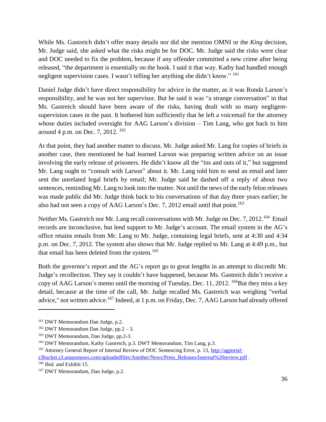While Ms. Gastreich didn't offer many details nor did she mention OMNI or the *King* decision, Mr. Judge said, she asked what the risks might be for DOC. Mr. Judge said the risks were clear and DOC needed to fix the problem, because if any offender committed a new crime after being released, "the department is essentially on the hook. I said it that way. Kathy had handled enough negligent supervision cases. I wasn't telling her anything she didn't know." <sup>161</sup>

Daniel Judge didn't have direct responsibility for advice in the matter, as it was Ronda Larson's responsibility, and he was not her supervisor. But he said it was "a strange conversation" in that Ms. Gastreich should have been aware of the risks, having dealt with so many negligentsupervision cases in the past. It bothered him sufficiently that he left a voicemail for the attorney whose duties included oversight for AAG Larson's division – Tim Lang, who got back to him around 4 p.m. on Dec. 7, 2012. <sup>162</sup>

At that point, they had another matter to discuss. Mr. Judge asked Mr. Lang for copies of briefs in another case, then mentioned he had learned Larson was preparing written advice on an issue involving the early release of prisoners. He didn't know all the "ins and outs of it," but suggested Mr. Lang ought to "consult with Larson" about it. Mr. Lang told him to send an email and later sent the unrelated legal briefs by email; Mr. Judge said he dashed off a reply of about two sentences, reminding Mr. Lang to look into the matter. Not until the news of the early felon releases was made public did Mr. Judge think back to his conversations of that day three years earlier; he also had not seen a copy of AAG Larson's Dec. 7, 2012 email until that point.<sup>163</sup>

Neither Ms. Gastreich nor Mr. Lang recall conversations with Mr. Judge on Dec. 7, 2012.<sup>164</sup> Email records are inconclusive, but lend support to Mr. Judge's account. The email system in the AG's office retains emails from Mr. Lang to Mr. Judge, containing legal briefs, sent at 4:30 and 4:34 p.m. on Dec. 7, 2012. The system also shows that Mr. Judge replied to Mr. Lang at 4:49 p.m., but that email has been deleted from the system.<sup>165</sup>

Both the governor's report and the AG's report go to great lengths in an attempt to discredit Mr. Judge's recollection. They say it couldn't have happened, because Ms. Gastreich didn't receive a copy of AAG Larson's memo until the morning of Tuesday, Dec. 11, 2012. <sup>166</sup>But they miss a key detail, because at the time of the call, Mr. Judge recalled Ms. Gastreich was weighing "verbal advice," not written advice.<sup>167</sup> Indeed, at 1 p.m. on Friday, Dec. 7, AAG Larson had already offered

<sup>161</sup> DWT Memorandum Dan Judge, p.2.

 $162$  DWT Memorandum Dan Judge, pp.2 – 3.

<sup>163</sup> DWT Memorandum, Dan Judge, pp.2-3.

<sup>164</sup> DWT Memorandum, Kathy Gastreich, p.3. DWT Memorandum, Tim Lang, p.3.

<sup>&</sup>lt;sup>165</sup> Attorney General Report of Internal Review of DOC Sentencing Error, p. 13, [http://agportal-](http://agportal-s3bucket.s3.amazonaws.com/uploadedfiles/Another/News/Press_Releases/Internal%20review.pdf)

[s3bucket.s3.amazonaws.com/uploadedfiles/Another/News/Press\\_Releases/Internal%20review.pdf](http://agportal-s3bucket.s3.amazonaws.com/uploadedfiles/Another/News/Press_Releases/Internal%20review.pdf) .

<sup>166</sup> *Ibid.* and Exhibit 15.

<sup>167</sup> DWT Memorandum, Dan Judge, p.2.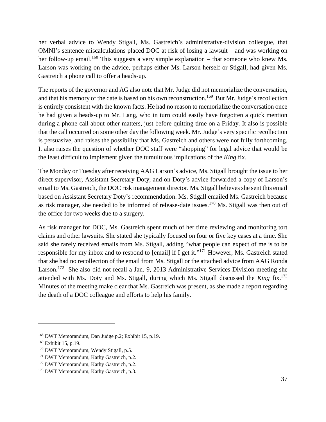her verbal advice to Wendy Stigall, Ms. Gastreich's administrative-division colleague, that OMNI's sentence miscalculations placed DOC at risk of losing a lawsuit – and was working on her follow-up email.<sup>168</sup> This suggests a very simple explanation – that someone who knew Ms. Larson was working on the advice, perhaps either Ms. Larson herself or Stigall, had given Ms. Gastreich a phone call to offer a heads-up.

The reports of the governor and AG also note that Mr. Judge did not memorialize the conversation, and that his memory of the date is based on his own reconstruction.<sup>169</sup> But Mr. Judge's recollection is entirely consistent with the known facts. He had no reason to memorialize the conversation once he had given a heads-up to Mr. Lang, who in turn could easily have forgotten a quick mention during a phone call about other matters, just before quitting time on a Friday. It also is possible that the call occurred on some other day the following week. Mr. Judge's very specific recollection is persuasive, and raises the possibility that Ms. Gastreich and others were not fully forthcoming. It also raises the question of whether DOC staff were "shopping" for legal advice that would be the least difficult to implement given the tumultuous implications of the *King* fix.

The Monday or Tuesday after receiving AAG Larson's advice, Ms. Stigall brought the issue to her direct supervisor, Assistant Secretary Doty, and on Doty's advice forwarded a copy of Larson's email to Ms. Gastreich, the DOC risk management director. Ms. Stigall believes she sent this email based on Assistant Secretary Doty's recommendation. Ms. Stigall emailed Ms. Gastreich because as risk manager, she needed to be informed of release-date issues.<sup>170</sup> Ms. Stigall was then out of the office for two weeks due to a surgery.

As risk manager for DOC, Ms. Gastreich spent much of her time reviewing and monitoring tort claims and other lawsuits. She stated she typically focused on four or five key cases at a time. She said she rarely received emails from Ms. Stigall, adding "what people can expect of me is to be responsible for my inbox and to respond to [email] if I get it."<sup>171</sup> However, Ms. Gastreich stated that she had no recollection of the email from Ms. Stigall or the attached advice from AAG Ronda Larson.<sup>172</sup> She also did not recall a Jan. 9, 2013 Administrative Services Division meeting she attended with Ms. Doty and Ms. Stigall, during which Ms. Stigall discussed the *King* fix. 173 Minutes of the meeting make clear that Ms. Gastreich was present, as she made a report regarding the death of a DOC colleague and efforts to help his family.

<sup>168</sup> DWT Memorandum, Dan Judge p.2; Exhibit 15, p.19.

<sup>169</sup> Exhibit 15, p.19.

<sup>&</sup>lt;sup>170</sup> DWT Memorandum, Wendy Stigall, p.5.

<sup>&</sup>lt;sup>171</sup> DWT Memorandum, Kathy Gastreich, p.2.

<sup>&</sup>lt;sup>172</sup> DWT Memorandum, Kathy Gastreich, p.2.

<sup>&</sup>lt;sup>173</sup> DWT Memorandum, Kathy Gastreich, p.3.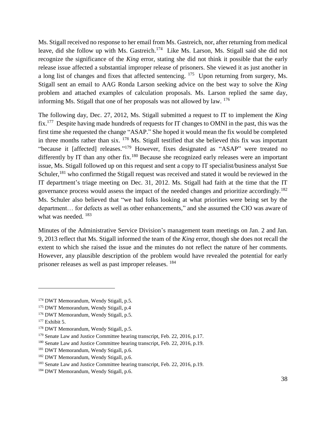Ms. Stigall received no response to her email from Ms. Gastreich, nor, after returning from medical leave, did she follow up with Ms. Gastreich.<sup>174</sup> Like Ms. Larson, Ms. Stigall said she did not recognize the significance of the *King* error, stating she did not think it possible that the early release issue affected a substantial improper release of prisoners. She viewed it as just another in a long list of changes and fixes that affected sentencing.  $175$  Upon returning from surgery, Ms. Stigall sent an email to AAG Ronda Larson seeking advice on the best way to solve the *King* problem and attached examples of calculation proposals. Ms. Larson replied the same day, informing Ms. Stigall that one of her proposals was not allowed by law.  $176$ 

The following day, Dec. 27, 2012, Ms. Stigall submitted a request to IT to implement the *King*  $\rm fix$ .<sup>177</sup> Despite having made hundreds of requests for IT changes to OMNI in the past, this was the first time she requested the change "ASAP." She hoped it would mean the fix would be completed in three months rather than six. <sup>178</sup> Ms. Stigall testified that she believed this fix was important "because it [affected] releases."<sup>179</sup> However, fixes designated as "ASAP" were treated no differently by IT than any other fix.<sup>180</sup> Because she recognized early releases were an important issue, Ms. Stigall followed up on this request and sent a copy to IT specialist/business analyst Sue Schuler,<sup>181</sup> who confirmed the Stigall request was received and stated it would be reviewed in the IT department's triage meeting on Dec. 31, 2012. Ms. Stigall had faith at the time that the IT governance process would assess the impact of the needed changes and prioritize accordingly.<sup>182</sup> Ms. Schuler also believed that "we had folks looking at what priorities were being set by the department… for defects as well as other enhancements," and she assumed the CIO was aware of what was needed.  $183$ 

Minutes of the Administrative Service Division's management team meetings on Jan. 2 and Jan. 9, 2013 reflect that Ms. Stigall informed the team of the *King* error, though she does not recall the extent to which she raised the issue and the minutes do not reflect the nature of her comments. However, any plausible description of the problem would have revealed the potential for early prisoner releases as well as past improper releases. <sup>184</sup>

<sup>&</sup>lt;sup>174</sup> DWT Memorandum, Wendy Stigall, p.5.

<sup>175</sup> DWT Memorandum, Wendy Stigall, p.4

<sup>176</sup> DWT Memorandum, Wendy Stigall, p.5.

 $177$  Exhibit 5.

<sup>&</sup>lt;sup>178</sup> DWT Memorandum, Wendy Stigall, p.5.

<sup>&</sup>lt;sup>179</sup> Senate Law and Justice Committee hearing transcript, Feb. 22, 2016, p.17.

<sup>&</sup>lt;sup>180</sup> Senate Law and Justice Committee hearing transcript, Feb. 22, 2016, p.19.

<sup>&</sup>lt;sup>181</sup> DWT Memorandum, Wendy Stigall, p.6.

<sup>&</sup>lt;sup>182</sup> DWT Memorandum, Wendy Stigall, p.6.

<sup>&</sup>lt;sup>183</sup> Senate Law and Justice Committee hearing transcript, Feb. 22, 2016, p.19.

<sup>184</sup> DWT Memorandum, Wendy Stigall, p.6.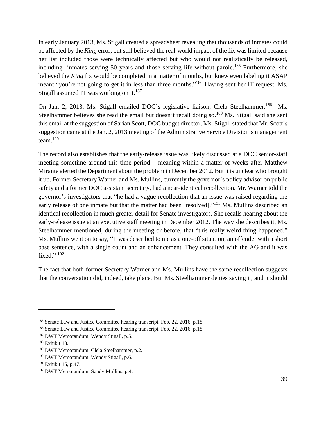In early January 2013, Ms. Stigall created a spreadsheet revealing that thousands of inmates could be affected by the *King* error, but still believed the real-world impact of the fix was limited because her list included those were technically affected but who would not realistically be released, including inmates serving 50 years and those serving life without parole.<sup>185</sup> Furthermore, she believed the *King* fix would be completed in a matter of months, but knew even labeling it ASAP meant "you're not going to get it in less than three months."<sup>186</sup> Having sent her IT request, Ms. Stigall assumed IT was working on it.<sup>187</sup>

On Jan. 2, 2013, Ms. Stigall emailed DOC's legislative liaison, Clela Steelhammer.<sup>188</sup> Ms. Steelhammer believes she read the email but doesn't recall doing so.<sup>189</sup> Ms. Stigall said she sent this email at the suggestion of Sarian Scott, DOC budget director. Ms. Stigall stated that Mr. Scott's suggestion came at the Jan. 2, 2013 meeting of the Administrative Service Division's management team. $190$ 

The record also establishes that the early-release issue was likely discussed at a DOC senior-staff meeting sometime around this time period – meaning within a matter of weeks after Matthew Mirante alerted the Department about the problem in December 2012. But it is unclear who brought it up. Former Secretary Warner and Ms. Mullins, currently the governor's policy advisor on public safety and a former DOC assistant secretary, had a near-identical recollection. Mr. Warner told the governor's investigators that "he had a vague recollection that an issue was raised regarding the early release of one inmate but that the matter had been [resolved]."<sup>191</sup> Ms. Mullins described an identical recollection in much greater detail for Senate investigators. She recalls hearing about the early-release issue at an executive staff meeting in December 2012. The way she describes it, Ms. Steelhammer mentioned, during the meeting or before, that "this really weird thing happened." Ms. Mullins went on to say, "It was described to me as a one-off situation, an offender with a short base sentence, with a single count and an enhancement. They consulted with the AG and it was fixed." 192

The fact that both former Secretary Warner and Ms. Mullins have the same recollection suggests that the conversation did, indeed, take place. But Ms. Steelhammer denies saying it, and it should

<sup>&</sup>lt;sup>185</sup> Senate Law and Justice Committee hearing transcript, Feb. 22, 2016, p.18.

<sup>186</sup> Senate Law and Justice Committee hearing transcript, Feb. 22, 2016, p.18.

<sup>&</sup>lt;sup>187</sup> DWT Memorandum, Wendy Stigall, p.5.

<sup>188</sup> Exhibit 18.

<sup>189</sup> DWT Memorandum, Clela Steelhammer, p.2.

<sup>&</sup>lt;sup>190</sup> DWT Memorandum, Wendy Stigall, p.6.

<sup>191</sup> Exhibit 15, p.47.

<sup>192</sup> DWT Memorandum, Sandy Mullins, p.4.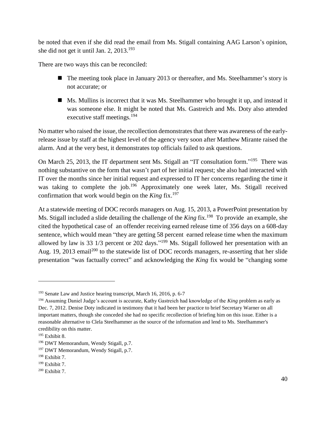be noted that even if she did read the email from Ms. Stigall containing AAG Larson's opinion, she did not get it until Jan. 2,  $2013$ .<sup>193</sup>

There are two ways this can be reconciled:

- The meeting took place in January 2013 or thereafter, and Ms. Steelhammer's story is not accurate; or
- Ms. Mullins is incorrect that it was Ms. Steelhammer who brought it up, and instead it was someone else. It might be noted that Ms. Gastreich and Ms. Doty also attended executive staff meetings.<sup>194</sup>

No matter who raised the issue, the recollection demonstrates that there was awareness of the earlyrelease issue by staff at the highest level of the agency very soon after Matthew Mirante raised the alarm. And at the very best, it demonstrates top officials failed to ask questions.

On March 25, 2013, the IT department sent Ms. Stigall an "IT consultation form."<sup>195</sup> There was nothing substantive on the form that wasn't part of her initial request; she also had interacted with IT over the months since her initial request and expressed to IT her concerns regarding the time it was taking to complete the job.<sup>196</sup> Approximately one week later, Ms. Stigall received confirmation that work would begin on the  $King$  fix.<sup>197</sup>

At a statewide meeting of DOC records managers on Aug. 15, 2013, a PowerPoint presentation by Ms. Stigall included a slide detailing the challenge of the *King* fix.<sup>198</sup> To provide an example, she cited the hypothetical case of an offender receiving earned release time of 356 days on a 608-day sentence, which would mean "they are getting 58 percent earned release time when the maximum allowed by law is 33  $1/3$  percent or 202 days."<sup>199</sup> Ms. Stigall followed her presentation with an Aug. 19, 2013 email<sup>200</sup> to the statewide list of DOC records managers, re-asserting that her slide presentation "was factually correct" and acknowledging the *King* fix would be "changing some

<sup>193</sup> Senate Law and Justice hearing transcript, March 16, 2016, p. 6-7

<sup>194</sup> Assuming Daniel Judge's account is accurate, Kathy Gastreich had knowledge of the *King* problem as early as Dec. 7, 2012. Denise Doty indicated in testimony that it had been her practice to brief Secretary Warner on all important matters, though she conceded she had no specific recollection of briefing him on this issue. Either is a reasonable alternative to Clela Steelhammer as the source of the information and lend to Ms. Steelhammer's credibility on this matter.

<sup>195</sup> Exhibit 8.

<sup>196</sup> DWT Memorandum, Wendy Stigall, p.7.

<sup>&</sup>lt;sup>197</sup> DWT Memorandum, Wendy Stigall, p.7.

 $198$  Exhibit 7.

<sup>199</sup> Exhibit 7.

<sup>200</sup> Exhibit 7.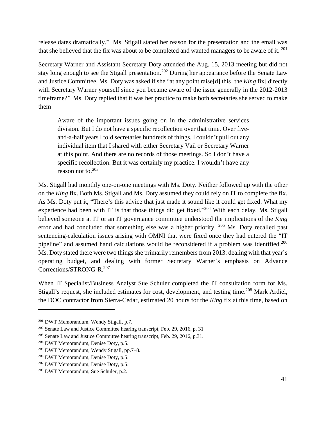release dates dramatically." Ms. Stigall stated her reason for the presentation and the email was that she believed that the fix was about to be completed and wanted managers to be aware of it.  $^{201}$ 

Secretary Warner and Assistant Secretary Doty attended the Aug. 15, 2013 meeting but did not stay long enough to see the Stigall presentation.<sup>202</sup> During her appearance before the Senate Law and Justice Committee, Ms. Doty was asked if she "at any point raise[d] this [the *King* fix] directly with Secretary Warner yourself since you became aware of the issue generally in the 2012-2013 timeframe?" Ms. Doty replied that it was her practice to make both secretaries she served to make them

Aware of the important issues going on in the administrative services division. But I do not have a specific recollection over that time. Over fiveand-a-half years I told secretaries hundreds of things. I couldn't pull out any individual item that I shared with either Secretary Vail or Secretary Warner at this point. And there are no records of those meetings. So I don't have a specific recollection. But it was certainly my practice. I wouldn't have any reason not to.<sup>203</sup>

Ms. Stigall had monthly one-on-one meetings with Ms. Doty. Neither followed up with the other on the *King* fix. Both Ms. Stigall and Ms. Doty assumed they could rely on IT to complete the fix. As Ms. Doty put it, "There's this advice that just made it sound like it could get fixed. What my experience had been with IT is that those things did get fixed."<sup>204</sup> With each delay, Ms. Stigall believed someone at IT or an IT governance committee understood the implications of the *King* error and had concluded that something else was a higher priority.  $205$  Ms. Doty recalled past sentencing-calculation issues arising with OMNI that were fixed once they had entered the "IT pipeline" and assumed hand calculations would be reconsidered if a problem was identified.<sup>206</sup> Ms. Doty stated there were two things she primarily remembers from 2013: dealing with that year's operating budget, and dealing with former Secretary Warner's emphasis on Advance Corrections/STRONG-R. 207

When IT Specialist/Business Analyst Sue Schuler completed the IT consultation form for Ms. Stigall's request, she included estimates for cost, development, and testing time.<sup>208</sup> Mark Ardiel, the DOC contractor from Sierra-Cedar, estimated 20 hours for the *King* fix at this time, based on

<sup>201</sup> DWT Memorandum, Wendy Stigall, p.7.

<sup>&</sup>lt;sup>202</sup> Senate Law and Justice Committee hearing transcript, Feb. 29, 2016, p. 31

<sup>&</sup>lt;sup>203</sup> Senate Law and Justice Committee hearing transcript, Feb. 29, 2016, p.31.

<sup>204</sup> DWT Memorandum, Denise Doty, p.5.

<sup>205</sup> DWT Memorandum, Wendy Stigall, pp.7–8.

<sup>206</sup> DWT Memorandum, Denise Doty, p.5.

<sup>207</sup> DWT Memorandum, Denise Doty, p.5.

<sup>208</sup> DWT Memorandum, Sue Schuler, p.2.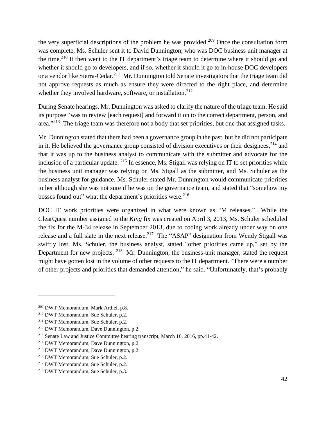the very superficial descriptions of the problem he was provided.<sup>209</sup> Once the consultation form was complete, Ms. Schuler sent it to David Dunnington, who was DOC business unit manager at the time.<sup>210</sup> It then went to the IT department's triage team to determine where it should go and whether it should go to developers, and if so, whether it should it go to in-house DOC developers or a vendor like Sierra-Cedar.<sup>211</sup> Mr. Dunnington told Senate investigators that the triage team did not approve requests as much as ensure they were directed to the right place, and determine whether they involved hardware, software, or installation.<sup>212</sup>

During Senate hearings, Mr. Dunnington was asked to clarify the nature of the triage team. He said its purpose "was to review [each request] and forward it on to the correct department, person, and area."<sup>213</sup> The triage team was therefore not a body that set priorities, but one that assigned tasks.

Mr. Dunnington stated that there had been a governance group in the past, but he did not participate in it. He believed the governance group consisted of division executives or their designees,<sup>214</sup> and that it was up to the business analyst to communicate with the submitter and advocate for the inclusion of a particular update. <sup>215</sup> In essence, Ms. Stigall was relying on IT to set priorities while the business unit manager was relying on Ms. Stigall as the submitter, and Ms. Schuler as the business analyst for guidance. Ms. Schuler stated Mr. Dunnington would communicate priorities to her although she was not sure if he was on the governance team, and stated that "somehow my bosses found out" what the department's priorities were.<sup>216</sup>

DOC IT work priorities were organized in what were known as "M releases." While the ClearQuest number assigned to the *King* fix was created on April 3, 2013, Ms. Schuler scheduled the fix for the M-34 release in September 2013, due to coding work already under way on one release and a full slate in the next release.<sup>217</sup> The "ASAP" designation from Wendy Stigall was swiftly lost. Ms. Schuler, the business analyst, stated "other priorities came up," set by the Department for new projects. <sup>218</sup> Mr. Dunnington, the business-unit manager, stated the request might have gotten lost in the volume of other requests to the IT department. "There were a number of other projects and priorities that demanded attention," he said. "Unfortunately, that's probably

<sup>209</sup> DWT Memorandum, Mark Ardiel, p.8.

<sup>210</sup> DWT Memorandum, Sue Schuler, p.2.

<sup>211</sup> DWT Memorandum, Sue Schuler, p.2.

<sup>212</sup> DWT Memorandum, Dave Dunnington, p.2.

<sup>213</sup> Senate Law and Justice Committee hearing transcript, March 16, 2016, pp.41-42.

<sup>214</sup> DWT Memorandum, Dave Dunnington, p.2.

<sup>215</sup> DWT Memorandum, Dave Dunnington, p.2.

<sup>216</sup> DWT Memorandum, Sue Schuler, p.2.

<sup>217</sup> DWT Memorandum, Sue Schuler, p.2.

<sup>218</sup> DWT Memorandum, Sue Schuler, p.3.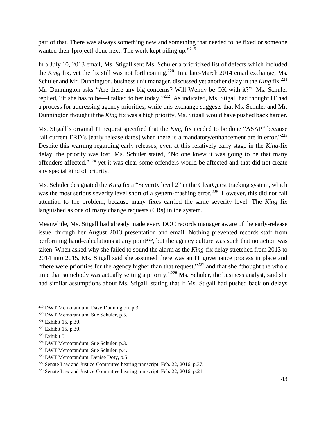part of that. There was always something new and something that needed to be fixed or someone wanted their [project] done next. The work kept piling up."<sup>219</sup>

In a July 10, 2013 email, Ms. Stigall sent Ms. Schuler a prioritized list of defects which included the *King* fix, yet the fix still was not forthcoming.<sup>220</sup> In a late-March 2014 email exchange, Ms. Schuler and Mr. Dunnington, business unit manager, discussed yet another delay in the *King* fix.<sup>221</sup> Mr. Dunnington asks "Are there any big concerns? Will Wendy be OK with it?" Ms. Schuler replied, "If she has to be—I talked to her today."<sup>222</sup> As indicated, Ms. Stigall had thought IT had a process for addressing agency priorities, while this exchange suggests that Ms. Schuler and Mr. Dunnington thought if the *King* fix was a high priority, Ms. Stigall would have pushed back harder.

Ms. Stigall's original IT request specified that the *King* fix needed to be done "ASAP" because "all current ERD's [early release dates] when there is a mandatory/enhancement are in error."<sup>223</sup> Despite this warning regarding early releases, even at this relatively early stage in the *King*-fix delay, the priority was lost. Ms. Schuler stated, "No one knew it was going to be that many offenders affected,"224 yet it was clear some offenders would be affected and that did not create any special kind of priority.

Ms. Schuler designated the *King* fix a "Severity level 2" in the ClearQuest tracking system, which was the most serious severity level short of a system-crashing error.<sup>225</sup> However, this did not call attention to the problem, because many fixes carried the same severity level. The *King* fix languished as one of many change requests (CRs) in the system.

Meanwhile, Ms. Stigall had already made every DOC records manager aware of the early-release issue, through her August 2013 presentation and email. Nothing prevented records staff from performing hand-calculations at any point<sup>226</sup>, but the agency culture was such that no action was taken. When asked why she failed to sound the alarm as the *King*-fix delay stretched from 2013 to 2014 into 2015, Ms. Stigall said she assumed there was an IT governance process in place and "there were priorities for the agency higher than that request," $227$  and that she "thought the whole time that somebody was actually setting a priority."<sup>228</sup> Ms. Schuler, the business analyst, said she had similar assumptions about Ms. Stigall, stating that if Ms. Stigall had pushed back on delays

<sup>219</sup> DWT Memorandum, Dave Dunnington, p.3.

<sup>220</sup> DWT Memorandum, Sue Schuler, p.5.

<sup>221</sup> Exhibit 15, p.30.

 $222$  Exhibit 15, p.30.

 $223$  Exhibit 5.

<sup>224</sup> DWT Memorandum, Sue Schuler, p.3.

<sup>225</sup> DWT Memorandum, Sue Schuler, p.4.

<sup>226</sup> DWT Memorandum, Denise Doty, p.5.

<sup>227</sup> Senate Law and Justice Committee hearing transcript, Feb. 22, 2016, p.37.

<sup>228</sup> Senate Law and Justice Committee hearing transcript, Feb. 22, 2016, p.21.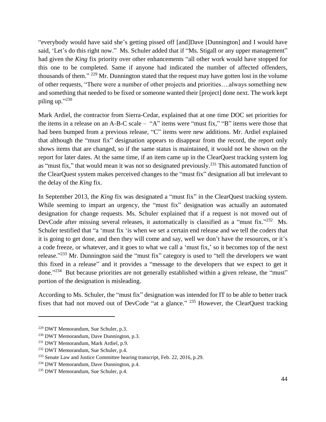"everybody would have said she's getting pissed off [and]Dave [Dunnington] and I would have said, 'Let's do this right now." Ms. Schuler added that if "Ms. Stigall or any upper management" had given the *King* fix priority over other enhancements "all other work would have stopped for this one to be completed. Same if anyone had indicated the number of affected offenders, thousands of them." <sup>229</sup> Mr. Dunnington stated that the request may have gotten lost in the volume of other requests, "There were a number of other projects and priorities….always something new and something that needed to be fixed or someone wanted their [project] done next. The work kept piling up."230

Mark Ardiel, the contractor from Sierra-Cedar, explained that at one time DOC set priorities for the items in a release on an A-B-C scale – "A" items were "must fix," "B" items were those that had been bumped from a previous release, "C" items were new additions. Mr. Ardiel explained that although the "must fix" designation appears to disappear from the record, the report only shows items that are changed, so if the same status is maintained, it would not be shown on the report for later dates. At the same time, if an item came up in the ClearQuest tracking system log as "must fix," that would mean it was not so designated previously.<sup>231</sup> This automated function of the ClearQuest system makes perceived changes to the "must fix" designation all but irrelevant to the delay of the *King* fix.

In September 2013, the *King* fix was designated a "must fix" in the ClearQuest tracking system. While seeming to impart an urgency, the "must fix" designation was actually an automated designation for change requests. Ms. Schuler explained that if a request is not moved out of DevCode after missing several releases, it automatically is classified as a "must fix."<sup>232</sup> Ms. Schuler testified that "a 'must fix 'is when we set a certain end release and we tell the coders that it is going to get done, and then they will come and say, well we don't have the resources, or it's a code freeze, or whatever, and it goes to what we call a 'must fix,' so it becomes top of the next release."<sup>233</sup> Mr. Dunnington said the "must fix" category is used to "tell the developers we want this fixed in a release" and it provides a "message to the developers that we expect to get it done."<sup>234</sup> But because priorities are not generally established within a given release, the "must" portion of the designation is misleading.

According to Ms. Schuler, the "must fix" designation was intended for IT to be able to better track fixes that had not moved out of DevCode "at a glance." <sup>235</sup> However, the ClearQuest tracking

<sup>229</sup> DWT Memorandum, Sue Schuler, p.3.

<sup>230</sup> DWT Memorandum, Dave Dunnington, p.3.

<sup>&</sup>lt;sup>231</sup> DWT Memorandum, Mark Ardiel, p.9.

<sup>&</sup>lt;sup>232</sup> DWT Memorandum, Sue Schuler, p.4.

<sup>&</sup>lt;sup>233</sup> Senate Law and Justice Committee hearing transcript, Feb. 22, 2016, p.29.

<sup>234</sup> DWT Memorandum, Dave Dunnington, p.4.

<sup>235</sup> DWT Memorandum, Sue Schuler, p.4.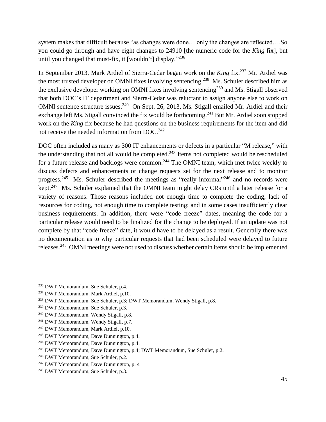system makes that difficult because "as changes were done… only the changes are reflected….So you could go through and have eight changes to 24910 [the numeric code for the *King* fix], but until you changed that must-fix, it [wouldn't] display."<sup>236</sup>

In September 2013, Mark Ardiel of Sierra-Cedar began work on the *King* fix.<sup>237</sup> Mr. Ardiel was the most trusted developer on OMNI fixes involving sentencing.<sup>238</sup> Ms. Schuler described him as the exclusive developer working on OMNI fixes involving sentencing<sup>239</sup> and Ms. Stigall observed that both DOC's IT department and Sierra-Cedar was reluctant to assign anyone else to work on OMNI sentence structure issues.<sup>240</sup> On Sept. 26, 2013, Ms. Stigall emailed Mr. Ardiel and their exchange left Ms. Stigall convinced the fix would be forthcoming.<sup>241</sup> But Mr. Ardiel soon stopped work on the *King* fix because he had questions on the business requirements for the item and did not receive the needed information from DOC.<sup>242</sup>

DOC often included as many as 300 IT enhancements or defects in a particular "M release," with the understanding that not all would be completed.<sup>243</sup> Items not completed would be rescheduled for a future release and backlogs were common.<sup>244</sup> The OMNI team, which met twice weekly to discuss defects and enhancements or change requests set for the next release and to monitor progress.<sup>245</sup> Ms. Schuler described the meetings as "really informal"<sup>246</sup> and no records were kept.<sup>247</sup> Ms. Schuler explained that the OMNI team might delay CRs until a later release for a variety of reasons. Those reasons included not enough time to complete the coding, lack of resources for coding, not enough time to complete testing; and in some cases insufficiently clear business requirements. In addition, there were "code freeze" dates, meaning the code for a particular release would need to be finalized for the change to be deployed. If an update was not complete by that "code freeze" date, it would have to be delayed as a result. Generally there was no documentation as to why particular requests that had been scheduled were delayed to future releases.<sup>248</sup> OMNI meetings were not used to discuss whether certain items should be implemented

<sup>236</sup> DWT Memorandum, Sue Schuler, p.4.

<sup>&</sup>lt;sup>237</sup> DWT Memorandum, Mark Ardiel, p.10.

<sup>238</sup> DWT Memorandum, Sue Schuler, p.3; DWT Memorandum, Wendy Stigall, p.8.

<sup>239</sup> DWT Memorandum, Sue Schuler, p.3.

<sup>240</sup> DWT Memorandum, Wendy Stigall, p.8.

<sup>241</sup> DWT Memorandum, Wendy Stigall, p.7.

<sup>242</sup> DWT Memorandum, Mark Ardiel, p.10.

<sup>243</sup> DWT Memorandum, Dave Dunnington, p.4.

<sup>244</sup> DWT Memorandum, Dave Dunnington, p.4.

<sup>&</sup>lt;sup>245</sup> DWT Memorandum, Dave Dunnington, p.4; DWT Memorandum, Sue Schuler, p.2.

<sup>246</sup> DWT Memorandum, Sue Schuler, p.2.

<sup>247</sup> DWT Memorandum, Dave Dunnington, p. 4

<sup>248</sup> DWT Memorandum, Sue Schuler, p.3.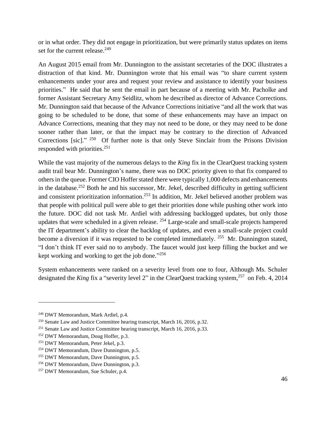or in what order. They did not engage in prioritization, but were primarily status updates on items set for the current release.<sup>249</sup>

An August 2015 email from Mr. Dunnington to the assistant secretaries of the DOC illustrates a distraction of that kind. Mr. Dunnington wrote that his email was "to share current system enhancements under your area and request your review and assistance to identify your business priorities." He said that he sent the email in part because of a meeting with Mr. Pacholke and former Assistant Secretary Amy Seidlitz, whom he described as director of Advance Corrections. Mr. Dunnington said that because of the Advance Corrections initiative "and all the work that was going to be scheduled to be done, that some of these enhancements may have an impact on Advance Corrections, meaning that they may not need to be done, or they may need to be done sooner rather than later, or that the impact may be contrary to the direction of Advanced Corrections [sic]."<sup>250</sup> Of further note is that only Steve Sinclair from the Prisons Division responded with priorities. $251$ 

While the vast majority of the numerous delays to the *King* fix in the ClearQuest tracking system audit trail bear Mr. Dunnington's name, there was no DOC priority given to that fix compared to others in the queue. Former CIO Hoffer stated there were typically 1,000 defects and enhancements in the database.<sup>252</sup> Both he and his successor, Mr. Jekel, described difficulty in getting sufficient and consistent prioritization information.<sup>253</sup> In addition, Mr. Jekel believed another problem was that people with political pull were able to get their priorities done while pushing other work into the future. DOC did not task Mr. Ardiel with addressing backlogged updates, but only those updates that were scheduled in a given release. <sup>254</sup> Large-scale and small-scale projects hampered the IT department's ability to clear the backlog of updates, and even a small-scale project could become a diversion if it was requested to be completed immediately.  $255$  Mr. Dunnington stated, "I don't think IT ever said no to anybody. The faucet would just keep filling the bucket and we kept working and working to get the job done."<sup>256</sup>

System enhancements were ranked on a severity level from one to four, Although Ms. Schuler designated the *King* fix a "severity level 2" in the ClearQuest tracking system,<sup>257</sup> on Feb. 4, 2014

<sup>249</sup> DWT Memorandum, Mark Ardiel, p.4.

<sup>250</sup> Senate Law and Justice Committee hearing transcript, March 16, 2016, p.32.

<sup>251</sup> Senate Law and Justice Committee hearing transcript, March 16, 2016, p.33.

<sup>252</sup> DWT Memorandum, Doug Hoffer, p.3.

<sup>253</sup> DWT Memorandum, Peter Jekel, p.3.

<sup>&</sup>lt;sup>254</sup> DWT Memorandum, Dave Dunnington, p.5.

<sup>&</sup>lt;sup>255</sup> DWT Memorandum, Dave Dunnington, p.5.

<sup>256</sup> DWT Memorandum, Dave Dunnington, p.3.

<sup>257</sup> DWT Memorandum, Sue Schuler, p.4.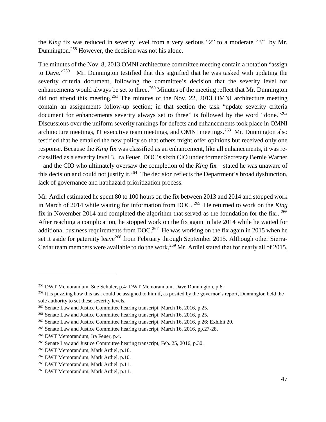the *King* fix was reduced in severity level from a very serious "2" to a moderate "3" by Mr. Dunnington.<sup>258</sup> However, the decision was not his alone.

The minutes of the Nov. 8, 2013 OMNI architecture committee meeting contain a notation "assign to Dave."<sup>259</sup> Mr. Dunnington testified that this signified that he was tasked with updating the severity criteria document, following the committee's decision that the severity level for enhancements would always be set to three.<sup>260</sup> Minutes of the meeting reflect that Mr. Dunnington did not attend this meeting.<sup>261</sup> The minutes of the Nov. 22, 2013 OMNI architecture meeting contain an assignments follow-up section; in that section the task "update severity criteria document for enhancements severity always set to three" is followed by the word "done."262 Discussions over the uniform severity rankings for defects and enhancements took place in OMNI architecture meetings, IT executive team meetings, and OMNI meetings.<sup>263</sup> Mr. Dunnington also testified that he emailed the new policy so that others might offer opinions but received only one response. Because the *King* fix was classified as an enhancement, like all enhancements, it was reclassified as a severity level 3. Ira Feuer, DOC's sixth CIO under former Secretary Bernie Warner – and the CIO who ultimately oversaw the completion of the *King* fix – stated he was unaware of this decision and could not justify it.<sup>264</sup> The decision reflects the Department's broad dysfunction, lack of governance and haphazard prioritization process.

Mr. Ardiel estimated he spent 80 to 100 hours on the fix between 2013 and 2014 and stopped work in March of 2014 while waiting for information from DOC. 265 He returned to work on the *King* fix in November 2014 and completed the algorithm that served as the foundation for the fix..  $^{266}$ After reaching a complication, he stopped work on the fix again in late 2014 while he waited for additional business requirements from DOC.<sup>267</sup> He was working on the fix again in 2015 when he set it aside for paternity leave<sup>268</sup> from February through September 2015. Although other Sierra-Cedar team members were available to do the work,  $^{269}$  Mr. Ardiel stated that for nearly all of 2015,

<sup>258</sup> DWT Memorandum, Sue Schuler, p.4; DWT Memorandum, Dave Dunnington, p.6.

 $^{259}$  It is puzzling how this task could be assigned to him if, as posited by the governor's report. Dunnington held the sole authority to set these severity levels.

<sup>260</sup> Senate Law and Justice Committee hearing transcript, March 16, 2016, p.25.

<sup>261</sup> Senate Law and Justice Committee hearing transcript, March 16, 2016, p.25.

<sup>262</sup> Senate Law and Justice Committee hearing transcript, March 16, 2016, p.26; Exhibit 20.

<sup>263</sup> Senate Law and Justice Committee hearing transcript, March 16, 2016, pp.27-28.

<sup>264</sup> DWT Memorandum, Ira Feuer, p.4.

<sup>265</sup> Senate Law and Justice Committee hearing transcript, Feb. 25, 2016, p.30.

<sup>266</sup> DWT Memorandum, Mark Ardiel, p.10.

<sup>267</sup> DWT Memorandum, Mark Ardiel, p.10.

<sup>268</sup> DWT Memorandum, Mark Ardiel, p.11.

<sup>269</sup> DWT Memorandum, Mark Ardiel, p.11.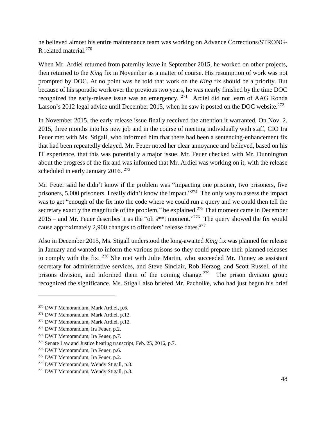he believed almost his entire maintenance team was working on Advance Corrections/STRONG-R related material.<sup>270</sup>

When Mr. Ardiel returned from paternity leave in September 2015, he worked on other projects, then returned to the *King* fix in November as a matter of course. His resumption of work was not prompted by DOC. At no point was he told that work on the *King* fix should be a priority. But because of his sporadic work over the previous two years, he was nearly finished by the time DOC recognized the early-release issue was an emergency.  $271$  Ardiel did not learn of AAG Ronda Larson's 2012 legal advice until December 2015, when he saw it posted on the DOC website.<sup>272</sup>

In November 2015, the early release issue finally received the attention it warranted. On Nov. 2, 2015, three months into his new job and in the course of meeting individually with staff, CIO Ira Feuer met with Ms. Stigall, who informed him that there had been a sentencing-enhancement fix that had been repeatedly delayed. Mr. Feuer noted her clear annoyance and believed, based on his IT experience, that this was potentially a major issue. Mr. Feuer checked with Mr. Dunnington about the progress of the fix and was informed that Mr. Ardiel was working on it, with the release scheduled in early January 2016. <sup>273</sup>

Mr. Feuer said he didn't know if the problem was "impacting one prisoner, two prisoners, five prisoners, 5,000 prisoners. I really didn't know the impact."<sup>274</sup> The only way to assess the impact was to get "enough of the fix into the code where we could run a query and we could then tell the secretary exactly the magnitude of the problem," he explained.<sup>275</sup> That moment came in December 2015 – and Mr. Feuer describes it as the "oh  $s^{**}$ t moment."<sup>276</sup> The query showed the fix would cause approximately 2,900 changes to offenders' release dates.<sup>277</sup>

Also in December 2015, Ms. Stigall understood the long-awaited *King* fix was planned for release in January and wanted to inform the various prisons so they could prepare their planned releases to comply with the fix. <sup>278</sup> She met with Julie Martin, who succeeded Mr. Tinney as assistant secretary for administrative services, and Steve Sinclair, Rob Herzog, and Scott Russell of the prisons division, and informed them of the coming change.<sup>279</sup> The prison division group recognized the significance. Ms. Stigall also briefed Mr. Pacholke, who had just begun his brief

<sup>270</sup> DWT Memorandum, Mark Ardiel, p.6.

<sup>271</sup> DWT Memorandum, Mark Ardiel, p.12.

<sup>272</sup> DWT Memorandum, Mark Ardiel, p.12.

<sup>273</sup> DWT Memorandum, Ira Feuer, p.2.

<sup>274</sup> DWT Memorandum, Ira Feuer, p.7.

<sup>275</sup> Senate Law and Justice hearing transcript, Feb. 25, 2016, p.7.

<sup>276</sup> DWT Memorandum, Ira Feuer, p.6.

<sup>277</sup> DWT Memorandum, Ira Feuer, p.2.

<sup>278</sup> DWT Memorandum, Wendy Stigall, p.8.

<sup>279</sup> DWT Memorandum, Wendy Stigall, p.8.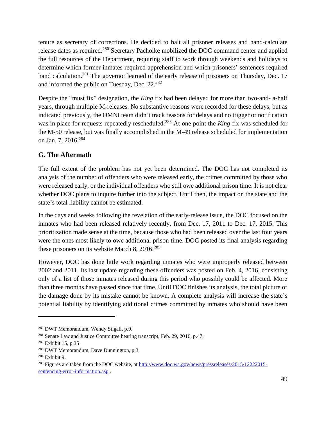tenure as secretary of corrections. He decided to halt all prisoner releases and hand-calculate release dates as required.<sup>280</sup> Secretary Pacholke mobilized the DOC command center and applied the full resources of the Department, requiring staff to work through weekends and holidays to determine which former inmates required apprehension and which prisoners' sentences required hand calculation.<sup>281</sup> The governor learned of the early release of prisoners on Thursday, Dec. 17 and informed the public on Tuesday, Dec.  $22.^{282}$ 

Despite the "must fix" designation, the *King* fix had been delayed for more than two-and- a-half years, through multiple M-releases. No substantive reasons were recorded for these delays, but as indicated previously, the OMNI team didn't track reasons for delays and no trigger or notification was in place for requests repeatedly rescheduled.<sup>283</sup> At one point the *King* fix was scheduled for the M-50 release, but was finally accomplished in the M-49 release scheduled for implementation on Jan. 7, 2016.<sup>284</sup>

#### <span id="page-48-0"></span>**G. The Aftermath**

The full extent of the problem has not yet been determined. The DOC has not completed its analysis of the number of offenders who were released early, the crimes committed by those who were released early, or the individual offenders who still owe additional prison time. It is not clear whether DOC plans to inquire further into the subject. Until then, the impact on the state and the state's total liability cannot be estimated.

In the days and weeks following the revelation of the early-release issue, the DOC focused on the inmates who had been released relatively recently, from Dec. 17, 2011 to Dec. 17, 2015. This prioritization made sense at the time, because those who had been released over the last four years were the ones most likely to owe additional prison time. DOC posted its final analysis regarding these prisoners on its website March 8,  $2016$ <sup>285</sup>

However, DOC has done little work regarding inmates who were improperly released between 2002 and 2011. Its last update regarding these offenders was posted on Feb. 4, 2016, consisting only of a list of those inmates released during this period who possibly could be affected. More than three months have passed since that time. Until DOC finishes its analysis, the total picture of the damage done by its mistake cannot be known. A complete analysis will increase the state's potential liability by identifying additional crimes committed by inmates who should have been

<sup>280</sup> DWT Memorandum, Wendy Stigall, p.9.

<sup>&</sup>lt;sup>281</sup> Senate Law and Justice Committee hearing transcript, Feb. 29, 2016, p.47.

<sup>282</sup> Exhibit 15, p.35

<sup>283</sup> DWT Memorandum, Dave Dunnington, p.3.

 $284$  Exhibit 9.

<sup>&</sup>lt;sup>285</sup> Figures are taken from the DOC website, at [http://www.doc.wa.gov/news/pressreleases/2015/12222015](http://www.doc.wa.gov/news/pressreleases/2015/12222015-sentencing-error-information.asp) [sentencing-error-information.asp](http://www.doc.wa.gov/news/pressreleases/2015/12222015-sentencing-error-information.asp) .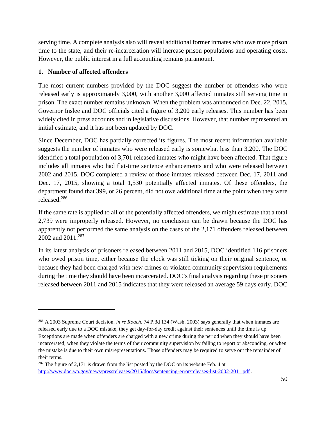serving time. A complete analysis also will reveal additional former inmates who owe more prison time to the state, and their re-incarceration will increase prison populations and operating costs. However, the public interest in a full accounting remains paramount.

#### <span id="page-49-0"></span>**1. Number of affected offenders**

 $\overline{a}$ 

The most current numbers provided by the DOC suggest the number of offenders who were released early is approximately 3,000, with another 3,000 affected inmates still serving time in prison. The exact number remains unknown. When the problem was announced on Dec. 22, 2015, Governor Inslee and DOC officials cited a figure of 3,200 early releases. This number has been widely cited in press accounts and in legislative discussions. However, that number represented an initial estimate, and it has not been updated by DOC.

Since December, DOC has partially corrected its figures. The most recent information available suggests the number of inmates who were released early is somewhat less than 3,200. The DOC identified a total population of 3,701 released inmates who might have been affected. That figure includes all inmates who had flat-time sentence enhancements and who were released between 2002 and 2015. DOC completed a review of those inmates released between Dec. 17, 2011 and Dec. 17, 2015, showing a total 1,530 potentially affected inmates. Of these offenders, the department found that 399, or 26 percent, did not owe additional time at the point when they were released.<sup>286</sup>

If the same rate is applied to all of the potentially affected offenders, we might estimate that a total 2,739 were improperly released. However, no conclusion can be drawn because the DOC has apparently not performed the same analysis on the cases of the 2,171 offenders released between 2002 and 2011.<sup>287</sup>

In its latest analysis of prisoners released between 2011 and 2015, DOC identified 116 prisoners who owed prison time, either because the clock was still ticking on their original sentence, or because they had been charged with new crimes or violated community supervision requirements during the time they should have been incarcerated. DOC's final analysis regarding these prisoners released between 2011 and 2015 indicates that they were released an average 59 days early. DOC

<sup>286</sup> A 2003 Supreme Court decision, *in re Roach*, 74 P.3d 134 (Wash. 2003) says generally that when inmates are released early due to a DOC mistake, they get day-for-day credit against their sentences until the time is up. Exceptions are made when offenders are charged with a new crime during the period when they should have been incarcerated, when they violate the terms of their community supervision by failing to report or absconding, or when the mistake is due to their own misrepresentations. Those offenders may be required to serve out the remainder of their terms.

 $287$  The figure of 2,171 is drawn from the list posted by the DOC on its website Feb. 4 at [http://www.doc.wa.gov/news/pressreleases/2015/docs/sentencing-error/releases-list-2002-2011.pdf](http://www.doc.wa.gov/news/pressreleases/2015/docs/sentencing-error/releases-list-2002-2011.pdf%20.) .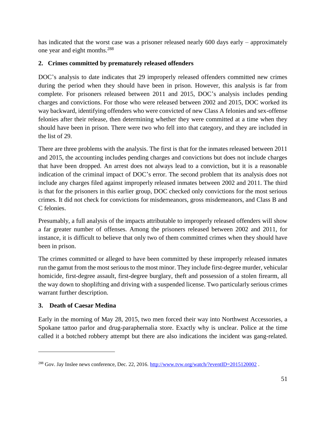has indicated that the worst case was a prisoner released nearly 600 days early – approximately one year and eight months.<sup>288</sup>

#### <span id="page-50-0"></span>**2. Crimes committed by prematurely released offenders**

DOC's analysis to date indicates that 29 improperly released offenders committed new crimes during the period when they should have been in prison. However, this analysis is far from complete. For prisoners released between 2011 and 2015, DOC's analysis includes pending charges and convictions. For those who were released between 2002 and 2015, DOC worked its way backward, identifying offenders who were convicted of new Class A felonies and sex-offense felonies after their release, then determining whether they were committed at a time when they should have been in prison. There were two who fell into that category, and they are included in the list of 29.

There are three problems with the analysis. The first is that for the inmates released between 2011 and 2015, the accounting includes pending charges and convictions but does not include charges that have been dropped. An arrest does not always lead to a conviction, but it is a reasonable indication of the criminal impact of DOC's error. The second problem that its analysis does not include any charges filed against improperly released inmates between 2002 and 2011. The third is that for the prisoners in this earlier group, DOC checked only convictions for the most serious crimes. It did not check for convictions for misdemeanors, gross misdemeanors, and Class B and C felonies.

Presumably, a full analysis of the impacts attributable to improperly released offenders will show a far greater number of offenses. Among the prisoners released between 2002 and 2011, for instance, it is difficult to believe that only two of them committed crimes when they should have been in prison.

The crimes committed or alleged to have been committed by these improperly released inmates run the gamut from the most serious to the most minor. They include first-degree murder, vehicular homicide, first-degree assault, first-degree burglary, theft and possession of a stolen firearm, all the way down to shoplifting and driving with a suspended license. Two particularly serious crimes warrant further description.

#### <span id="page-50-1"></span>**3. Death of Caesar Medina**

 $\overline{a}$ 

Early in the morning of May 28, 2015, two men forced their way into Northwest Accessories, a Spokane tattoo parlor and drug-paraphernalia store. Exactly why is unclear. Police at the time called it a botched robbery attempt but there are also indications the incident was gang-related.

<sup>&</sup>lt;sup>288</sup> Gov. Jay Inslee news conference, Dec. 22, 2016. <http://www.tvw.org/watch/?eventID=2015120002>.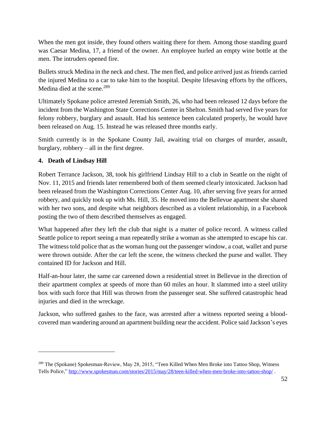When the men got inside, they found others waiting there for them. Among those standing guard was Caesar Medina, 17, a friend of the owner. An employee hurled an empty wine bottle at the men. The intruders opened fire.

Bullets struck Medina in the neck and chest. The men fled, and police arrived just as friends carried the injured Medina to a car to take him to the hospital. Despite lifesaving efforts by the officers, Medina died at the scene.<sup>289</sup>

Ultimately Spokane police arrested Jeremiah Smith, 26, who had been released 12 days before the incident from the Washington State Corrections Center in Shelton. Smith had served five years for felony robbery, burglary and assault. Had his sentence been calculated properly, he would have been released on Aug. 15. Instead he was released three months early.

Smith currently is in the Spokane County Jail, awaiting trial on charges of murder, assault, burglary, robbery – all in the first degree.

#### <span id="page-51-0"></span>**4. Death of Lindsay Hill**

 $\overline{a}$ 

Robert Terrance Jackson, 38, took his girlfriend Lindsay Hill to a club in Seattle on the night of Nov. 11, 2015 and friends later remembered both of them seemed clearly intoxicated. Jackson had been released from the Washington Corrections Center Aug. 10, after serving five years for armed robbery, and quickly took up with Ms. Hill, 35. He moved into the Bellevue apartment she shared with her two sons, and despite what neighbors described as a violent relationship, in a Facebook posting the two of them described themselves as engaged.

What happened after they left the club that night is a matter of police record. A witness called Seattle police to report seeing a man repeatedly strike a woman as she attempted to escape his car. The witness told police that as the woman hung out the passenger window, a coat, wallet and purse were thrown outside. After the car left the scene, the witness checked the purse and wallet. They contained ID for Jackson and Hill.

Half-an-hour later, the same car careened down a residential street in Bellevue in the direction of their apartment complex at speeds of more than 60 miles an hour. It slammed into a steel utility box with such force that Hill was thrown from the passenger seat. She suffered catastrophic head injuries and died in the wreckage.

Jackson, who suffered gashes to the face, was arrested after a witness reported seeing a bloodcovered man wandering around an apartment building near the accident. Police said Jackson's eyes

<sup>289</sup> The (Spokane) Spokesman-Review, May 28, 2015, "Teen Killed When Men Broke into Tattoo Shop, Witness Tells Police,"<http://www.spokesman.com/stories/2015/may/28/teen-killed-when-men-broke-into-tattoo-shop/> .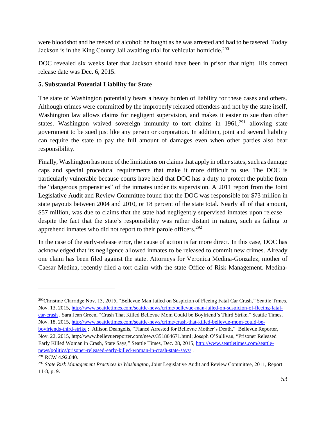were bloodshot and he reeked of alcohol; he fought as he was arrested and had to be tasered. Today Jackson is in the King County Jail awaiting trial for vehicular homicide.<sup>290</sup>

DOC revealed six weeks later that Jackson should have been in prison that night. His correct release date was Dec. 6, 2015.

#### <span id="page-52-0"></span>**5. Substantial Potential Liability for State**

 $\overline{a}$ 

The state of Washington potentially bears a heavy burden of liability for these cases and others. Although crimes were committed by the improperly released offenders and not by the state itself, Washington law allows claims for negligent supervision, and makes it easier to sue than other states. Washington waived sovereign immunity to tort claims in 1961,<sup>291</sup> allowing state government to be sued just like any person or corporation. In addition, joint and several liability can require the state to pay the full amount of damages even when other parties also bear responsibility.

Finally, Washington has none of the limitations on claims that apply in other states, such as damage caps and special procedural requirements that make it more difficult to sue. The DOC is particularly vulnerable because courts have held that DOC has a duty to protect the public from the "dangerous propensities" of the inmates under its supervision. A 2011 report from the Joint Legislative Audit and Review Committee found that the DOC was responsible for \$73 million in state payouts between 2004 and 2010, or 18 percent of the state total. Nearly all of that amount, \$57 million, was due to claims that the state had negligently supervised inmates upon release – despite the fact that the state's responsibility was rather distant in nature, such as failing to apprehend inmates who did not report to their parole officers.<sup>292</sup>

In the case of the early-release error, the cause of action is far more direct. In this case, DOC has acknowledged that its negligence allowed inmates to be released to commit new crimes. Already one claim has been filed against the state. Attorneys for Veronica Medina-Gonzalez, mother of Caesar Medina, recently filed a tort claim with the state Office of Risk Management. Medina-

<sup>&</sup>lt;sup>290</sup>Christine Clarridge Nov. 13, 2015, "Bellevue Man Jailed on Suspicion of Fleeing Fatal Car Crash," Seattle Times, Nov. 13, 2015, [http://www.seattletimes.com/seattle-news/crime/bellevue-man-jailed-on-suspicion-of-fleeing-fatal](http://www.seattletimes.com/seattle-news/crime/bellevue-man-jailed-on-suspicion-of-fleeing-fatal-car-crash)[car-crash](http://www.seattletimes.com/seattle-news/crime/bellevue-man-jailed-on-suspicion-of-fleeing-fatal-car-crash) . Sara Jean Green, "Crash That Killed Bellevue Mom Could be Boyfriend's Third Strike," Seattle Times, Nov. 18, 2015, [http://www.seattletimes.com/seattle-news/crime/crash-that-killed-bellevue-mom-could-be](http://www.seattletimes.com/seattle-news/crime/crash-that-killed-bellevue-mom-could-be-boyfriends-third-strike)[boyfriends-third-strike](http://www.seattletimes.com/seattle-news/crime/crash-that-killed-bellevue-mom-could-be-boyfriends-third-strike) ; Allison Deangelis, "Fiancé Arrested for Bellevue Mother's Death," Bellevue Reporter, Nov. 22, 2015, http://www.bellevuereporter.com/news/351864671.html; Joseph O'Sullivan, "Prisoner Released Early Killed Woman in Crash, State Says," Seattle Times, Dec. 28, 2015, [http://www.seattletimes.com/seattle](http://www.seattletimes.com/seattle-news/politics/prisoner-released-early-killed-woman-in-crash-state-says/)[news/politics/prisoner-released-early-killed-woman-in-crash-state-says/](http://www.seattletimes.com/seattle-news/politics/prisoner-released-early-killed-woman-in-crash-state-says/) . <sup>291</sup> RCW 4.92.040.

<sup>292</sup> *State Risk Management Practices in Washington*, Joint Legislative Audit and Review Committee, 2011, Report 11-8, p. 9.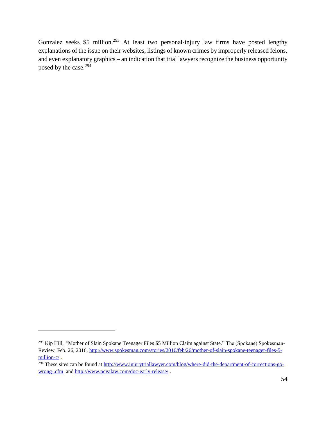Gonzalez seeks \$5 million.<sup>293</sup> At least two personal-injury law firms have posted lengthy explanations of the issue on their websites, listings of known crimes by improperly released felons, and even explanatory graphics – an indication that trial lawyers recognize the business opportunity posed by the case.<sup>294</sup>

<sup>&</sup>lt;sup>293</sup> Kip Hill, "Mother of Slain Spokane Teenager Files \$5 Million Claim against State." The (Spokane) Spokesman-Review, Feb. 26, 2016, [http://www.spokesman.com/stories/2016/feb/26/mother-of-slain-spokane-teenager-files-5](http://www.spokesman.com/stories/2016/feb/26/mother-of-slain-spokane-teenager-files-5-million-c/) [million-c/](http://www.spokesman.com/stories/2016/feb/26/mother-of-slain-spokane-teenager-files-5-million-c/).

 $294$  These sites can be found at [http://www.injurytriallawyer.com/blog/where-did-the-department-of-corrections-go](http://www.injurytriallawyer.com/blog/where-did-the-department-of-corrections-go-wrong-.cfm)[wrong-.cfm](http://www.injurytriallawyer.com/blog/where-did-the-department-of-corrections-go-wrong-.cfm) and<http://www.pcvalaw.com/doc-early-release/> .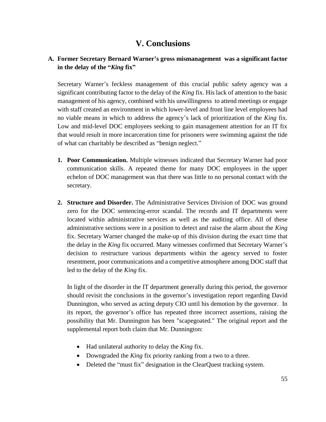## **V. Conclusions**

#### <span id="page-54-0"></span>**A. Former Secretary Bernard Warner's gross mismanagement was a significant factor in the delay of the "***King* **fix"**

Secretary Warner's feckless management of this crucial public safety agency was a significant contributing factor to the delay of the *King* fix. His lack of attention to the basic management of his agency, combined with his unwillingness to attend meetings or engage with staff created an environment in which lower-level and front line level employees had no viable means in which to address the agency's lack of prioritization of the *King* fix. Low and mid-level DOC employees seeking to gain management attention for an IT fix that would result in more incarceration time for prisoners were swimming against the tide of what can charitably be described as "benign neglect."

- **1. Poor Communication.** Multiple witnesses indicated that Secretary Warner had poor communication skills. A repeated theme for many DOC employees in the upper echelon of DOC management was that there was little to no personal contact with the secretary.
- **2. Structure and Disorder.** The Administrative Services Division of DOC was ground zero for the DOC sentencing-error scandal. The records and IT departments were located within administrative services as well as the auditing office. All of these administrative sections were in a position to detect and raise the alarm about the *King* fix. Secretary Warner changed the make-up of this division during the exact time that the delay in the *King* fix occurred. Many witnesses confirmed that Secretary Warner's decision to restructure various departments within the agency served to foster resentment, poor communications and a competitive atmosphere among DOC staff that led to the delay of the *King* fix.

In light of the disorder in the IT department generally during this period, the governor should revisit the conclusions in the governor's investigation report regarding David Dunnington, who served as acting deputy CIO until his demotion by the governor. In its report, the governor's office has repeated three incorrect assertions, raising the possibility that Mr. Dunnington has been "scapegoated." The original report and the supplemental report both claim that Mr. Dunnington:

- Had unilateral authority to delay the *King* fix.
- Downgraded the *King* fix priority ranking from a two to a three.
- Deleted the "must fix" designation in the ClearQuest tracking system.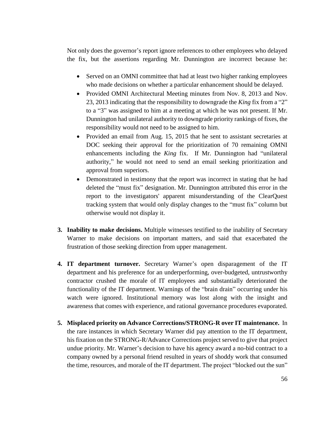Not only does the governor's report ignore references to other employees who delayed the fix, but the assertions regarding Mr. Dunnington are incorrect because he:

- Served on an OMNI committee that had at least two higher ranking employees who made decisions on whether a particular enhancement should be delayed.
- Provided OMNI Architectural Meeting minutes from Nov. 8, 2013 and Nov. 23, 2013 indicating that the responsibility to downgrade the *King* fix from a "2" to a "3" was assigned to him at a meeting at which he was not present. If Mr. Dunnington had unilateral authority to downgrade priority rankings of fixes, the responsibility would not need to be assigned to him.
- Provided an email from Aug. 15, 2015 that he sent to assistant secretaries at DOC seeking their approval for the prioritization of 70 remaining OMNI enhancements including the *King* fix. If Mr. Dunnington had "unilateral authority," he would not need to send an email seeking prioritization and approval from superiors.
- Demonstrated in testimony that the report was incorrect in stating that he had deleted the "must fix" designation. Mr. Dunnington attributed this error in the report to the investigators' apparent misunderstanding of the ClearQuest tracking system that would only display changes to the "must fix" column but otherwise would not display it.
- **3. Inability to make decisions.** Multiple witnesses testified to the inability of Secretary Warner to make decisions on important matters, and said that exacerbated the frustration of those seeking direction from upper management.
- **4. IT department turnover.** Secretary Warner's open disparagement of the IT department and his preference for an underperforming, over-budgeted, untrustworthy contractor crushed the morale of IT employees and substantially deteriorated the functionality of the IT department. Warnings of the "brain drain" occurring under his watch were ignored. Institutional memory was lost along with the insight and awareness that comes with experience, and rational governance procedures evaporated.
- **5. Misplaced priority on Advance Corrections/STRONG-R over IT maintenance.** In the rare instances in which Secretary Warner did pay attention to the IT department, his fixation on the STRONG-R/Advance Corrections project served to give that project undue priority. Mr. Warner's decision to have his agency award a no-bid contract to a company owned by a personal friend resulted in years of shoddy work that consumed the time, resources, and morale of the IT department. The project "blocked out the sun"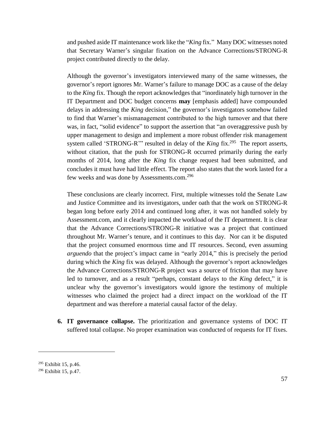and pushed aside IT maintenance work like the "*King* fix." Many DOC witnesses noted that Secretary Warner's singular fixation on the Advance Corrections/STRONG-R project contributed directly to the delay.

Although the governor's investigators interviewed many of the same witnesses, the governor's report ignores Mr. Warner's failure to manage DOC as a cause of the delay to the *King* fix. Though the report acknowledges that "inordinately high turnover in the IT Department and DOC budget concerns **may** [emphasis added] have compounded delays in addressing the *King* decision," the governor's investigators somehow failed to find that Warner's mismanagement contributed to the high turnover and that there was, in fact, "solid evidence" to support the assertion that "an overaggressive push by upper management to design and implement a more robust offender risk management system called 'STRONG-R'" resulted in delay of the *King* fix.<sup>295</sup> The report asserts, without citation, that the push for STRONG-R occurred primarily during the early months of 2014, long after the *King* fix change request had been submitted, and concludes it must have had little effect. The report also states that the work lasted for a few weeks and was done by Assessments.com.<sup>296</sup>

These conclusions are clearly incorrect. First, multiple witnesses told the Senate Law and Justice Committee and its investigators, under oath that the work on STRONG-R began long before early 2014 and continued long after, it was not handled solely by Assessment.com, and it clearly impacted the workload of the IT department. It is clear that the Advance Corrections/STRONG-R initiative was a project that continued throughout Mr. Warner's tenure, and it continues to this day. Nor can it be disputed that the project consumed enormous time and IT resources. Second, even assuming *arguendo* that the project's impact came in "early 2014," this is precisely the period during which the *King* fix was delayed. Although the governor's report acknowledges the Advance Corrections/STRONG-R project was a source of friction that may have led to turnover, and as a result "perhaps, constant delays to the *King* defect," it is unclear why the governor's investigators would ignore the testimony of multiple witnesses who claimed the project had a direct impact on the workload of the IT department and was therefore a material causal factor of the delay.

**6. IT governance collapse.** The prioritization and governance systems of DOC IT suffered total collapse. No proper examination was conducted of requests for IT fixes.

<sup>295</sup> Exhibit 15, p.46.

<sup>296</sup> Exhibit 15, p.47.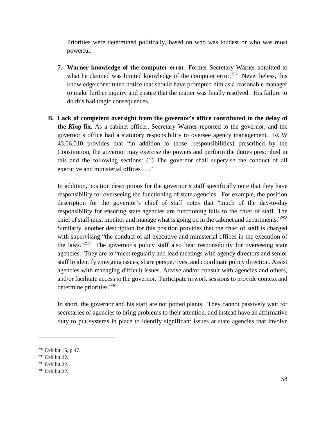Priorities were determined politically, based on who was loudest or who was most powerful.

- **7. Warner knowledge of the computer error.** Former Secretary Warner admitted to what he claimed was limited knowledge of the computer error.<sup>297</sup> Nevertheless, this knowledge constituted notice that should have prompted him as a reasonable manager to make further inquiry and ensure that the matter was finally resolved. His failure to do this had tragic consequences.
- **B. Lack of competent oversight from the governor's office contributed to the delay of the** *King* **fix.** As a cabinet officer, Secretary Warner reported to the governor, and the governor's office had a statutory responsibility to oversee agency management. RCW 43.06.010 provides that "in addition to those [responsibilities] prescribed by the Constitution, the governor may exercise the powers and perform the duties prescribed in this and the following sections: (1) The governor shall supervise the conduct of all executive and ministerial offices . . ."

In addition, position descriptions for the governor's staff specifically note that they have responsibility for overseeing the functioning of state agencies. For example, the position description for the governor's chief of staff notes that "much of the day-to-day responsibility for ensuring state agencies are functioning falls to the chief of staff. The chief of staff must monitor and manage what is going on in the cabinet and departments."<sup>298</sup> Similarly, another description for this position provides that the chief of staff is charged with supervising "the conduct of all executive and ministerial offices in the execution of the laws."<sup>299</sup> The governor's policy staff also bear responsibility for overseeing state agencies. They are to "meet regularly and lead meetings with agency directors and senior staff to identify emerging issues, share perspectives, and coordinate policy direction. Assist agencies with managing difficult issues. Advise and/or consult with agencies and others, and/or facilitate access to the governor. Participate in work sessions to provide context and determine priorities."300

In short, the governor and his staff are not potted plants. They cannot passively wait for secretaries of agencies to bring problems to their attention, and instead have an affirmative duty to put systems in place to identify significant issues at state agencies that involve

<sup>297</sup> Exhibit 15, p.47.

<sup>298</sup> Exhibit 22.

<sup>299</sup> Exhibit 22.

<sup>300</sup> Exhibit 22.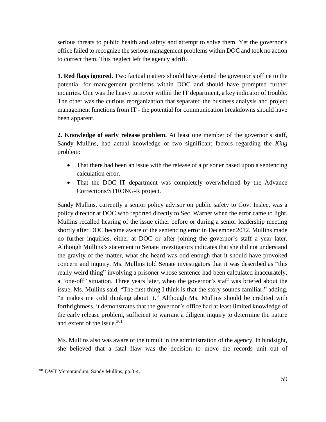serious threats to public health and safety and attempt to solve them. Yet the governor's office failed to recognize the serious management problems within DOC and took no action to correct them. This neglect left the agency adrift.

**1. Red flags ignored.** Two factual matters should have alerted the governor's office to the potential for management problems within DOC and should have prompted further inquiries. One was the heavy turnover within the IT department, a key indicator of trouble. The other was the curious reorganization that separated the business analysis and project management functions from IT - the potential for communication breakdowns should have been apparent.

**2. Knowledge of early release problem.** At least one member of the governor's staff, Sandy Mullins, had actual knowledge of two significant factors regarding the *King* problem:

- That there had been an issue with the release of a prisoner based upon a sentencing calculation error.
- That the DOC IT department was completely overwhelmed by the Advance Corrections/STRONG-R project.

Sandy Mullins, currently a senior policy advisor on public safety to Gov. Inslee, was a policy director at DOC who reported directly to Sec. Warner when the error came to light. Mullins recalled hearing of the issue either before or during a senior leadership meeting shortly after DOC became aware of the sentencing error in December 2012. Mullins made no further inquiries, either at DOC or after joining the governor's staff a year later. Although Mullins's statement to Senate investigators indicates that she did not understand the gravity of the matter, what she heard was odd enough that it should have provoked concern and inquiry. Ms. Mullins told Senate investigators that it was described as "this really weird thing" involving a prisoner whose sentence had been calculated inaccurately, a "one-off" situation. Three years later, when the governor's staff was briefed about the issue, Ms. Mullins said, "The first thing I think is that the story sounds familiar," adding, "it makes me cold thinking about it." Although Ms. Mullins should be credited with forthrightness, it demonstrates that the governor's office had at least limited knowledge of the early release problem, sufficient to warrant a diligent inquiry to determine the nature and extent of the issue.<sup>301</sup>

Ms. Mullins also was aware of the tumult in the administration of the agency. In hindsight, she believed that a fatal flaw was the decision to move the records unit out of

<sup>301</sup> DWT Memorandum, Sandy Mullins, pp.3-4.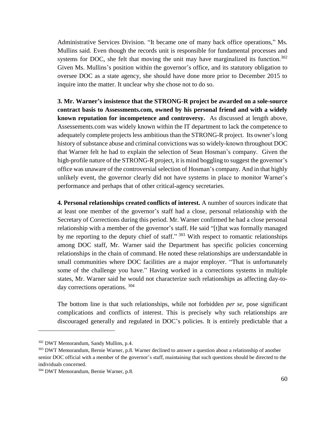Administrative Services Division. "It became one of many back office operations," Ms. Mullins said. Even though the records unit is responsible for fundamental processes and systems for DOC, she felt that moving the unit may have marginalized its function.<sup>302</sup> Given Ms. Mullins's position within the governor's office, and its statutory obligation to oversee DOC as a state agency, she should have done more prior to December 2015 to inquire into the matter. It unclear why she chose not to do so.

**3. Mr. Warner's insistence that the STRONG-R project be awarded on a sole-source contract basis to Assessments.com, owned by his personal friend and with a widely known reputation for incompetence and controversy.** As discussed at length above, Assessements.com was widely known within the IT department to lack the competence to adequately complete projects less ambitious than the STRONG-R project. Its owner's long history of substance abuse and criminal convictions was so widely-known throughout DOC that Warner felt he had to explain the selection of Sean Hosman's company. Given the high-profile nature of the STRONG-R project, it is mind boggling to suggest the governor's office was unaware of the controversial selection of Hosman's company. And in that highly unlikely event, the governor clearly did not have systems in place to monitor Warner's performance and perhaps that of other critical-agency secretaries.

**4. Personal relationships created conflicts of interest.** A number of sources indicate that at least one member of the governor's staff had a close, personal relationship with the Secretary of Corrections during this period. Mr. Warner confirmed he had a close personal relationship with a member of the governor's staff. He said "[t]hat was formally managed by me reporting to the deputy chief of staff." 303 With respect to romantic relationships among DOC staff, Mr. Warner said the Department has specific policies concerning relationships in the chain of command. He noted these relationships are understandable in small communities where DOC facilities are a major employer. "That is unfortunately some of the challenge you have." Having worked in a corrections systems in multiple states, Mr. Warner said he would not characterize such relationships as affecting day-today corrections operations. <sup>304</sup>

The bottom line is that such relationships, while not forbidden *per se*, pose significant complications and conflicts of interest. This is precisely why such relationships are discouraged generally and regulated in DOC's policies. It is entirely predictable that a

<sup>302</sup> DWT Memorandum, Sandy Mullins, p.4.

<sup>&</sup>lt;sup>303</sup> DWT Memorandum, Bernie Warner, p.8. Warner declined to answer a question about a relationship of another senior DOC official with a member of the governor's staff, maintaining that such questions should be directed to the individuals concerned.

<sup>304</sup> DWT Memorandum, Bernie Warner, p.8.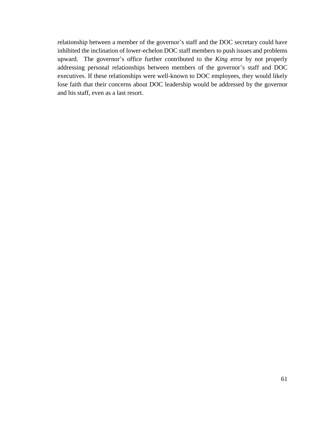relationship between a member of the governor's staff and the DOC secretary could have inhibited the inclination of lower-echelon DOC staff members to push issues and problems upward. The governor's office further contributed to the *King* error by not properly addressing personal relationships between members of the governor's staff and DOC executives. If these relationships were well-known to DOC employees, they would likely lose faith that their concerns about DOC leadership would be addressed by the governor and his staff, even as a last resort.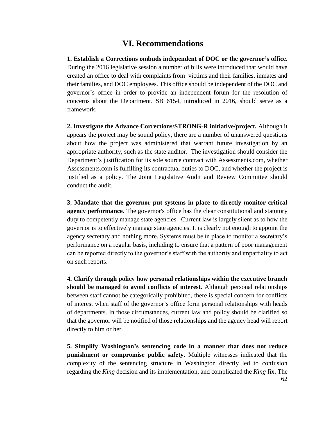## **VI. Recommendations**

<span id="page-61-0"></span>**1. Establish a Corrections ombuds independent of DOC or the governor's office.**  During the 2016 legislative session a number of bills were introduced that would have created an office to deal with complaints from victims and their families, inmates and their families, and DOC employees. This office should be independent of the DOC and governor's office in order to provide an independent forum for the resolution of concerns about the Department. SB 6154, introduced in 2016, should serve as a framework.

**2. Investigate the Advance Corrections/STRONG-R initiative/project.** Although it appears the project may be sound policy, there are a number of unanswered questions about how the project was administered that warrant future investigation by an appropriate authority, such as the state auditor. The investigation should consider the Department's justification for its sole source contract with Assessments.com, whether Assessments.com is fulfilling its contractual duties to DOC, and whether the project is justified as a policy. The Joint Legislative Audit and Review Committee should conduct the audit.

**3. Mandate that the governor put systems in place to directly monitor critical agency performance.** The governor's office has the clear constitutional and statutory duty to competently manage state agencies. Current law is largely silent as to how the governor is to effectively manage state agencies. It is clearly not enough to appoint the agency secretary and nothing more. Systems must be in place to monitor a secretary's performance on a regular basis, including to ensure that a pattern of poor management can be reported directly to the governor's staff with the authority and impartiality to act on such reports.

**4. Clarify through policy how personal relationships within the executive branch should be managed to avoid conflicts of interest.** Although personal relationships between staff cannot be categorically prohibited, there is special concern for conflicts of interest when staff of the governor's office form personal relationships with heads of departments. In those circumstances, current law and policy should be clarified so that the governor will be notified of those relationships and the agency head will report directly to him or her.

**5. Simplify Washington's sentencing code in a manner that does not reduce punishment or compromise public safety.** Multiple witnesses indicated that the complexity of the sentencing structure in Washington directly led to confusion regarding the *King* decision and its implementation, and complicated the *King* fix. The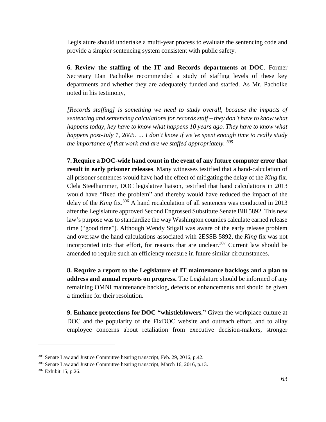Legislature should undertake a multi-year process to evaluate the sentencing code and provide a simpler sentencing system consistent with public safety.

**6. Review the staffing of the IT and Records departments at DOC**. Former Secretary Dan Pacholke recommended a study of staffing levels of these key departments and whether they are adequately funded and staffed. As Mr. Pacholke noted in his testimony,

*[Records staffing] is something we need to study overall, because the impacts of sentencing and sentencing calculations for records staff – they don't have to know what happens today, hey have to know what happens 10 years ago. They have to know what happens post-July 1, 2005. … I don't know if we've spent enough time to really study the importance of that work and are we staffed appropriately. <sup>305</sup>*

**7. Require a DOC-wide hand count in the event of any future computer error that result in early prisoner releases**. Many witnesses testified that a hand-calculation of all prisoner sentences would have had the effect of mitigating the delay of the *King* fix. Clela Steelhammer, DOC legislative liaison, testified that hand calculations in 2013 would have "fixed the problem" and thereby would have reduced the impact of the delay of the *King* fix.<sup>306</sup> A hand recalculation of all sentences was conducted in 2013 after the Legislature approved Second Engrossed Substitute Senate Bill 5892. This new law's purpose was to standardize the way Washington counties calculate earned release time ("good time"). Although Wendy Stigall was aware of the early release problem and oversaw the hand calculations associated with 2ESSB 5892, the *King* fix was not incorporated into that effort, for reasons that are unclear. <sup>307</sup> Current law should be amended to require such an efficiency measure in future similar circumstances.

**8. Require a report to the Legislature of IT maintenance backlogs and a plan to address and annual reports on progress.** The Legislature should be informed of any remaining OMNI maintenance backlog, defects or enhancements and should be given a timeline for their resolution.

**9. Enhance protections for DOC "whistleblowers."** Given the workplace culture at DOC and the popularity of the FixDOC website and outreach effort, and to allay employee concerns about retaliation from executive decision-makers, stronger

<sup>&</sup>lt;sup>305</sup> Senate Law and Justice Committee hearing transcript, Feb. 29, 2016, p.42.

<sup>306</sup> Senate Law and Justice Committee hearing transcript, March 16, 2016, p.13.

<sup>307</sup> Exhibit 15, p.26.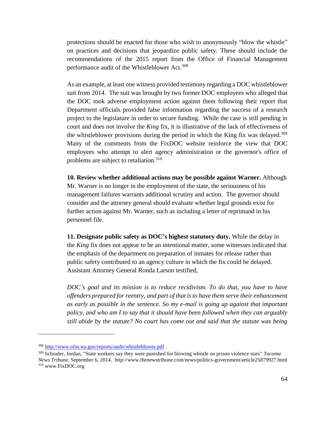protections should be enacted for those who wish to anonymously "blow the whistle" on practices and decisions that jeopardize public safety. These should include the recommendations of the 2015 report from the Office of Financial Management performance audit of the Whistleblower Act.<sup>308</sup>

As an example, at least one witness provided testimony regarding a DOC whistleblower suit from 2014. The suit was brought by two former DOC employees who alleged that the DOC took adverse employment action against them following their report that Department officials provided false information regarding the success of a research project to the legislature in order to secure funding. While the case is still pending in court and does not involve the *King* fix, it is illustrative of the lack of effectiveness of the whistleblower provisions during the period in which the King fix was delayed.<sup>309</sup> Many of the comments from the FixDOC website reinforce the view that DOC employees who attempt to alert agency administration or the governor's office of problems are subject to retaliation.<sup>310</sup>

**10. Review whether additional actions may be possible against Warner.** Although Mr. Warner is no longer in the employment of the state, the seriousness of his management failures warrants additional scrutiny and action. The governor should consider and the attorney general should evaluate whether legal grounds exist for further action against Mr. Warner, such as including a letter of reprimand in his personnel file.

**11. Designate public safety as DOC's highest statutory duty.** While the delay in the *King* fix does not appear to be an intentional matter, some witnesses indicated that the emphasis of the department on preparation of inmates for release rather than public safety contributed to an agency culture in which the fix could be delayed. Assistant Attorney General Ronda Larson testified,

*DOC's goal and its mission is to reduce recidivism. To do that, you have to have offenders prepared for reentry, and part of that is to have them serve their enhancement as early as possible in the sentence. So my e-mail is going up against that important policy, and who am I to say that it should have been followed when they can arguably still abide by the statute? No court has come out and said that the statute was being* 

<sup>308</sup> <http://www.ofm.wa.gov/reports/audit/whistleblower.pdf> .

<sup>309</sup> Schrader, Jordan, "State workers say they were punished for blowing whistle on prison violence stats" *Tacoma News Tribune*, September 6, 2014. http://www.thenewstribune.com/news/politics-government/article25879927.html <sup>310</sup> www.FixDOC.org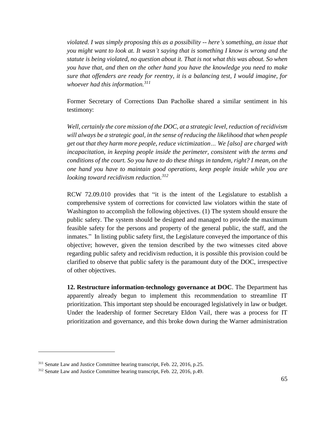*violated. I was simply proposing this as a possibility -- here's something, an issue that you might want to look at. It wasn't saying that is something I know is wrong and the statute is being violated, no question about it. That is not what this was about. So when you have that, and then on the other hand you have the knowledge you need to make sure that offenders are ready for reentry, it is a balancing test, I would imagine, for whoever had this information.<sup>311</sup>*

Former Secretary of Corrections Dan Pacholke shared a similar sentiment in his testimony:

*Well, certainly the core mission of the DOC, at a strategic level, reduction of recidivism will always be a strategic goal, in the sense of reducing the likelihood that when people get out that they harm more people, reduce victimization… We [also] are charged with incapacitation, in keeping people inside the perimeter, consistent with the terms and conditions of the court. So you have to do these things in tandem, right? I mean, on the one hand you have to maintain good operations, keep people inside while you are looking toward recidivism reduction.<sup>312</sup>*

RCW 72.09.010 provides that "it is the intent of the Legislature to establish a comprehensive system of corrections for convicted law violators within the state of Washington to accomplish the following objectives. (1) The system should ensure the public safety. The system should be designed and managed to provide the maximum feasible safety for the persons and property of the general public, the staff, and the inmates." In listing public safety first, the Legislature conveyed the importance of this objective; however, given the tension described by the two witnesses cited above regarding public safety and recidivism reduction, it is possible this provision could be clarified to observe that public safety is the paramount duty of the DOC, irrespective of other objectives.

**12. Restructure information-technology governance at DOC**. The Department has apparently already begun to implement this recommendation to streamline IT prioritization. This important step should be encouraged legislatively in law or budget. Under the leadership of former Secretary Eldon Vail, there was a process for IT prioritization and governance, and this broke down during the Warner administration

<sup>&</sup>lt;sup>311</sup> Senate Law and Justice Committee hearing transcript, Feb. 22, 2016, p.25.

<sup>312</sup> Senate Law and Justice Committee hearing transcript, Feb. 22, 2016, p.49.